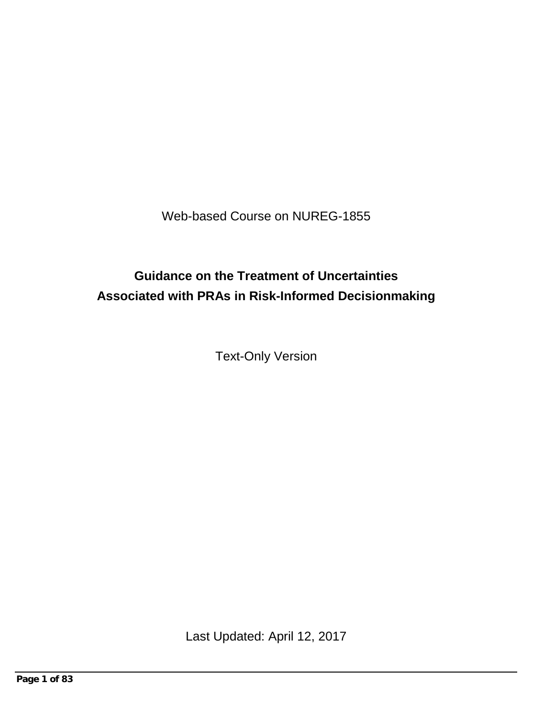Web-based Course on NUREG-1855

# **Guidance on the Treatment of Uncertainties Associated with PRAs in Risk-Informed Decisionmaking**

Text-Only Version

Last Updated: April 12, 2017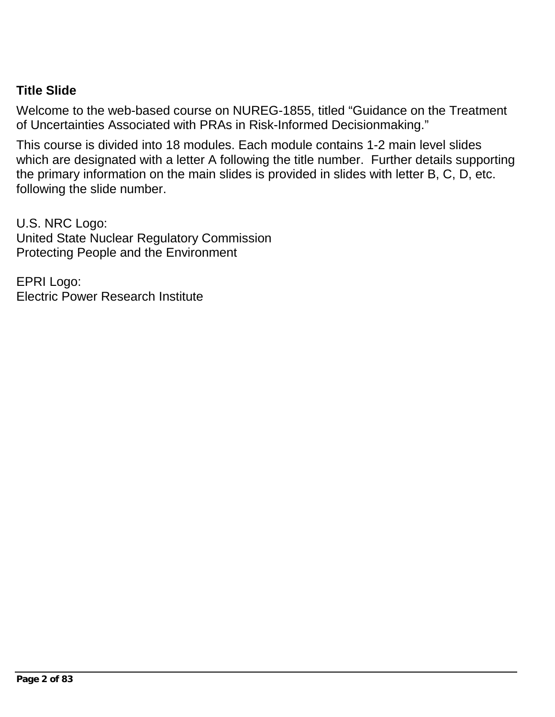### **Title Slide**

Welcome to the web-based course on NUREG-1855, titled "Guidance on the Treatment of Uncertainties Associated with PRAs in Risk-Informed Decisionmaking."

This course is divided into 18 modules. Each module contains 1-2 main level slides which are designated with a letter A following the title number. Further details supporting the primary information on the main slides is provided in slides with letter B, C, D, etc. following the slide number.

U.S. NRC Logo: United State Nuclear Regulatory Commission Protecting People and the Environment

EPRI Logo: Electric Power Research Institute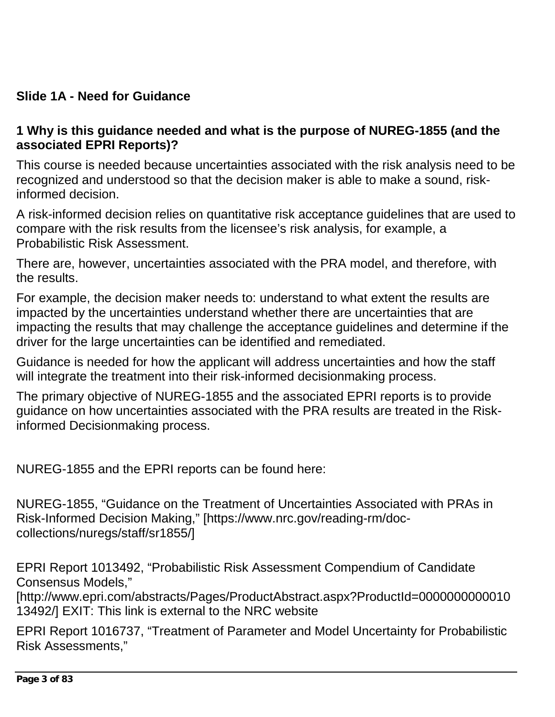## **Slide 1A - Need for Guidance**

#### **1 Why is this guidance needed and what is the purpose of NUREG-1855 (and the associated EPRI Reports)?**

This course is needed because uncertainties associated with the risk analysis need to be recognized and understood so that the decision maker is able to make a sound, riskinformed decision.

A risk-informed decision relies on quantitative risk acceptance guidelines that are used to compare with the risk results from the licensee's risk analysis, for example, a Probabilistic Risk Assessment.

There are, however, uncertainties associated with the PRA model, and therefore, with the results.

For example, the decision maker needs to: understand to what extent the results are impacted by the uncertainties understand whether there are uncertainties that are impacting the results that may challenge the acceptance guidelines and determine if the driver for the large uncertainties can be identified and remediated.

Guidance is needed for how the applicant will address uncertainties and how the staff will integrate the treatment into their risk-informed decisionmaking process.

The primary objective of NUREG-1855 and the associated EPRI reports is to provide guidance on how uncertainties associated with the PRA results are treated in the Riskinformed Decisionmaking process.

NUREG-1855 and the EPRI reports can be found here:

NUREG-1855, "Guidance on the Treatment of Uncertainties Associated with PRAs in Risk-Informed Decision Making," [https://www.nrc.gov/reading-rm/doccollections/nuregs/staff/sr1855/]

EPRI Report 1013492, "Probabilistic Risk Assessment Compendium of Candidate Consensus Models,"

[http://www.epri.com/abstracts/Pages/ProductAbstract.aspx?ProductId=0000000000010 13492/] EXIT: This link is external to the NRC website

EPRI Report 1016737, "Treatment of Parameter and Model Uncertainty for Probabilistic Risk Assessments,"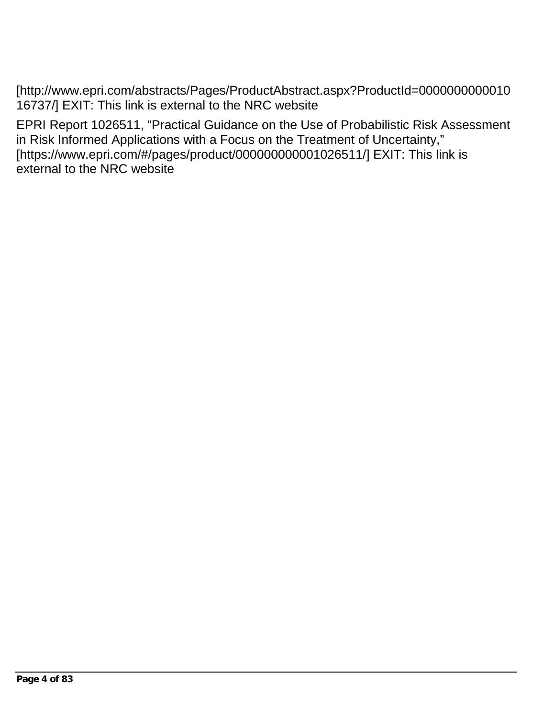[http://www.epri.com/abstracts/Pages/ProductAbstract.aspx?ProductId=0000000000010 16737/] EXIT: This link is external to the NRC website

EPRI Report 1026511, "Practical Guidance on the Use of Probabilistic Risk Assessment in Risk Informed Applications with a Focus on the Treatment of Uncertainty," [https://www.epri.com/#/pages/product/000000000001026511/] EXIT: This link is external to the NRC website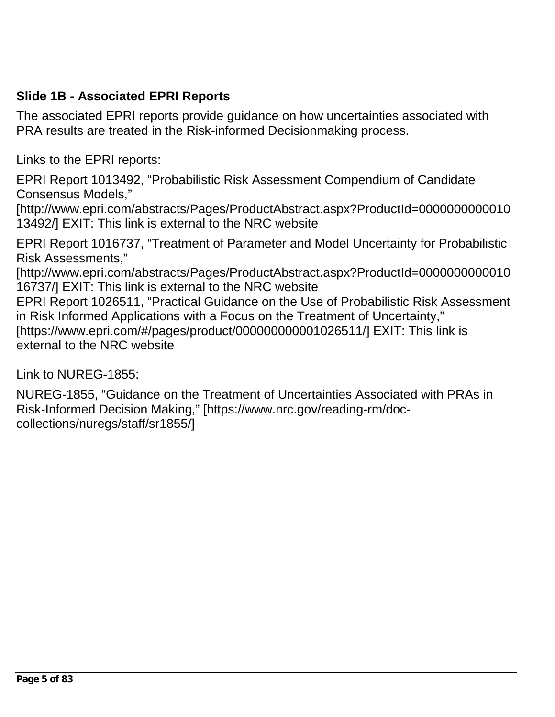### **Slide 1B - Associated EPRI Reports**

The associated EPRI reports provide guidance on how uncertainties associated with PRA results are treated in the Risk-informed Decisionmaking process.

Links to the EPRI reports:

EPRI Report 1013492, "Probabilistic Risk Assessment Compendium of Candidate Consensus Models,"

[http://www.epri.com/abstracts/Pages/ProductAbstract.aspx?ProductId=0000000000010 13492/] EXIT: This link is external to the NRC website

EPRI Report 1016737, "Treatment of Parameter and Model Uncertainty for Probabilistic Risk Assessments,"

[http://www.epri.com/abstracts/Pages/ProductAbstract.aspx?ProductId=0000000000010 16737/] EXIT: This link is external to the NRC website

EPRI Report 1026511, "Practical Guidance on the Use of Probabilistic Risk Assessment in Risk Informed Applications with a Focus on the Treatment of Uncertainty," [https://www.epri.com/#/pages/product/000000000001026511/] EXIT: This link is external to the NRC website

Link to NUREG-1855:

NUREG-1855, "Guidance on the Treatment of Uncertainties Associated with PRAs in Risk-Informed Decision Making," [https://www.nrc.gov/reading-rm/doccollections/nuregs/staff/sr1855/]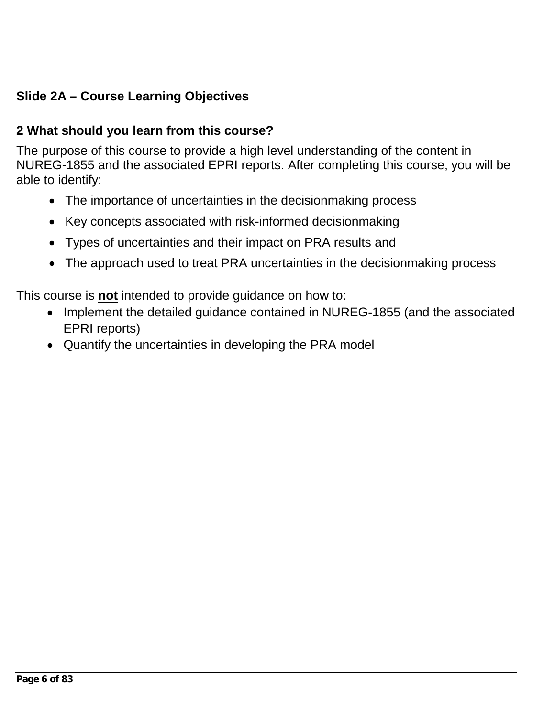# **Slide 2A – Course Learning Objectives**

### **2 What should you learn from this course?**

The purpose of this course to provide a high level understanding of the content in NUREG-1855 and the associated EPRI reports. After completing this course, you will be able to identify:

- The importance of uncertainties in the decisionmaking process
- Key concepts associated with risk-informed decisionmaking
- Types of uncertainties and their impact on PRA results and
- The approach used to treat PRA uncertainties in the decisionmaking process

This course is **not** intended to provide guidance on how to:

- Implement the detailed guidance contained in NUREG-1855 (and the associated EPRI reports)
- Quantify the uncertainties in developing the PRA model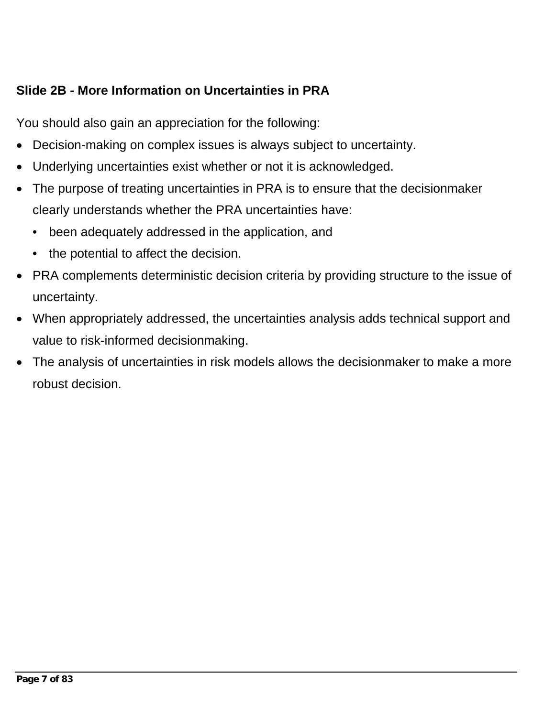# **Slide 2B - More Information on Uncertainties in PRA**

You should also gain an appreciation for the following:

- Decision-making on complex issues is always subject to uncertainty.
- Underlying uncertainties exist whether or not it is acknowledged.
- The purpose of treating uncertainties in PRA is to ensure that the decisionmaker clearly understands whether the PRA uncertainties have:
	- been adequately addressed in the application, and
	- the potential to affect the decision.
- PRA complements deterministic decision criteria by providing structure to the issue of uncertainty.
- When appropriately addressed, the uncertainties analysis adds technical support and value to risk-informed decisionmaking.
- The analysis of uncertainties in risk models allows the decisionmaker to make a more robust decision.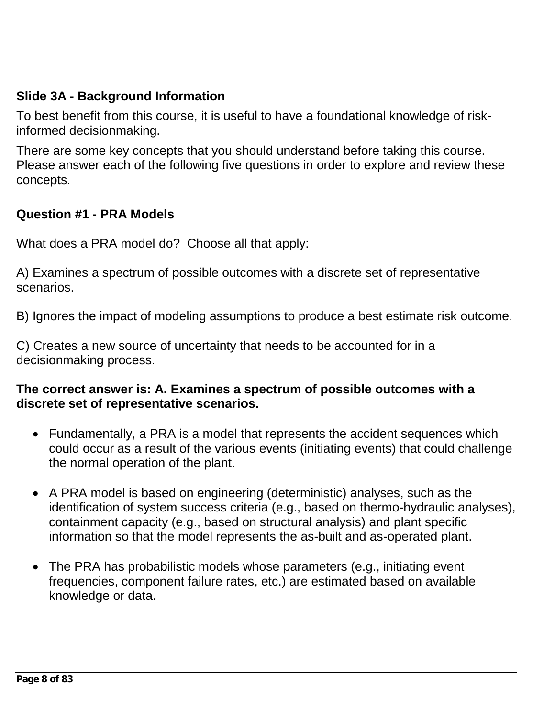### **Slide 3A - Background Information**

To best benefit from this course, it is useful to have a foundational knowledge of riskinformed decisionmaking.

There are some key concepts that you should understand before taking this course. Please answer each of the following five questions in order to explore and review these concepts.

#### **Question #1 - PRA Models**

What does a PRA model do? Choose all that apply:

A) Examines a spectrum of possible outcomes with a discrete set of representative **scenarios** 

B) Ignores the impact of modeling assumptions to produce a best estimate risk outcome.

C) Creates a new source of uncertainty that needs to be accounted for in a decisionmaking process.

#### **The correct answer is: A. Examines a spectrum of possible outcomes with a discrete set of representative scenarios.**

- Fundamentally, a PRA is a model that represents the accident sequences which could occur as a result of the various events (initiating events) that could challenge the normal operation of the plant.
- A PRA model is based on engineering (deterministic) analyses, such as the identification of system success criteria (e.g., based on thermo-hydraulic analyses), containment capacity (e.g., based on structural analysis) and plant specific information so that the model represents the as-built and as-operated plant.
- The PRA has probabilistic models whose parameters (e.g., initiating event frequencies, component failure rates, etc.) are estimated based on available knowledge or data.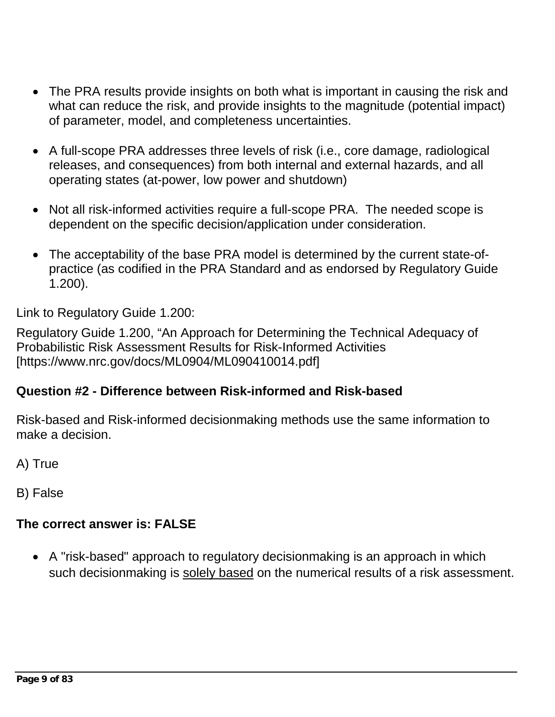- The PRA results provide insights on both what is important in causing the risk and what can reduce the risk, and provide insights to the magnitude (potential impact) of parameter, model, and completeness uncertainties.
- A full-scope PRA addresses three levels of risk (i.e., core damage, radiological releases, and consequences) from both internal and external hazards, and all operating states (at-power, low power and shutdown)
- Not all risk-informed activities require a full-scope PRA. The needed scope is dependent on the specific decision/application under consideration.
- The acceptability of the base PRA model is determined by the current state-ofpractice (as codified in the PRA Standard and as endorsed by Regulatory Guide 1.200).

Link to Regulatory Guide 1.200:

Regulatory Guide 1.200, "An Approach for Determining the Technical Adequacy of Probabilistic Risk Assessment Results for Risk-Informed Activities [https://www.nrc.gov/docs/ML0904/ML090410014.pdf]

# **Question #2 - Difference between Risk-informed and Risk-based**

Risk-based and Risk-informed decisionmaking methods use the same information to make a decision.

A) True

B) False

# **The correct answer is: FALSE**

• A "risk-based" approach to regulatory decisionmaking is an approach in which such decisionmaking is solely based on the numerical results of a risk assessment.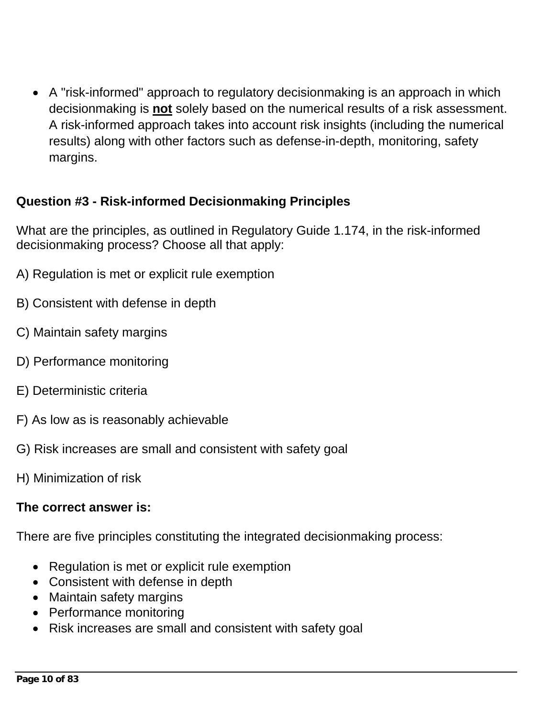• A "risk-informed" approach to regulatory decisionmaking is an approach in which decisionmaking is **not** solely based on the numerical results of a risk assessment. A risk-informed approach takes into account risk insights (including the numerical results) along with other factors such as defense-in-depth, monitoring, safety margins.

### **Question #3 - Risk-informed Decisionmaking Principles**

What are the principles, as outlined in Regulatory Guide 1.174, in the risk-informed decisionmaking process? Choose all that apply:

- A) Regulation is met or explicit rule exemption
- B) Consistent with defense in depth
- C) Maintain safety margins
- D) Performance monitoring
- E) Deterministic criteria
- F) As low as is reasonably achievable
- G) Risk increases are small and consistent with safety goal
- H) Minimization of risk

#### **The correct answer is:**

There are five principles constituting the integrated decisionmaking process:

- Regulation is met or explicit rule exemption
- Consistent with defense in depth
- Maintain safety margins
- Performance monitoring
- Risk increases are small and consistent with safety goal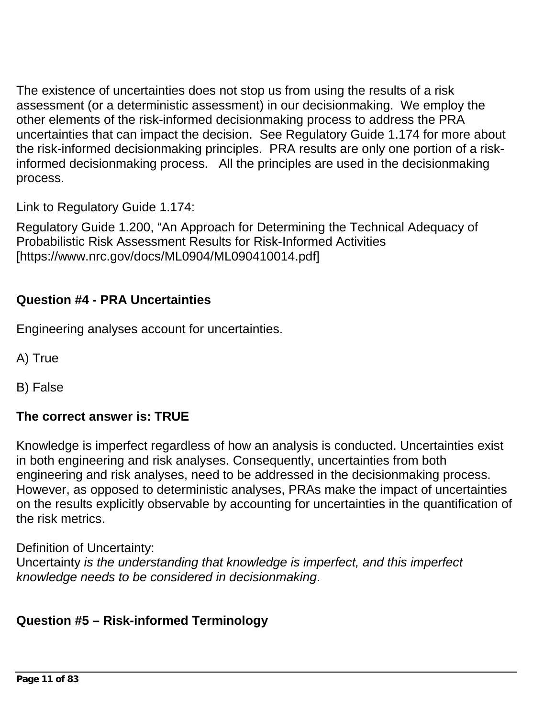The existence of uncertainties does not stop us from using the results of a risk assessment (or a deterministic assessment) in our decisionmaking. We employ the other elements of the risk-informed decisionmaking process to address the PRA uncertainties that can impact the decision. See Regulatory Guide 1.174 for more about the risk-informed decisionmaking principles. PRA results are only one portion of a riskinformed decisionmaking process. All the principles are used in the decisionmaking process.

Link to Regulatory Guide 1.174:

Regulatory Guide 1.200, "An Approach for Determining the Technical Adequacy of Probabilistic Risk Assessment Results for Risk-Informed Activities [https://www.nrc.gov/docs/ML0904/ML090410014.pdf]

### **Question #4 - PRA Uncertainties**

Engineering analyses account for uncertainties.

A) True

B) False

#### **The correct answer is: TRUE**

Knowledge is imperfect regardless of how an analysis is conducted. Uncertainties exist in both engineering and risk analyses. Consequently, uncertainties from both engineering and risk analyses, need to be addressed in the decisionmaking process. However, as opposed to deterministic analyses, PRAs make the impact of uncertainties on the results explicitly observable by accounting for uncertainties in the quantification of the risk metrics.

Definition of Uncertainty:

Uncertainty *is the understanding that knowledge is imperfect, and this imperfect knowledge needs to be considered in decisionmaking*.

### **Question #5 – Risk-informed Terminology**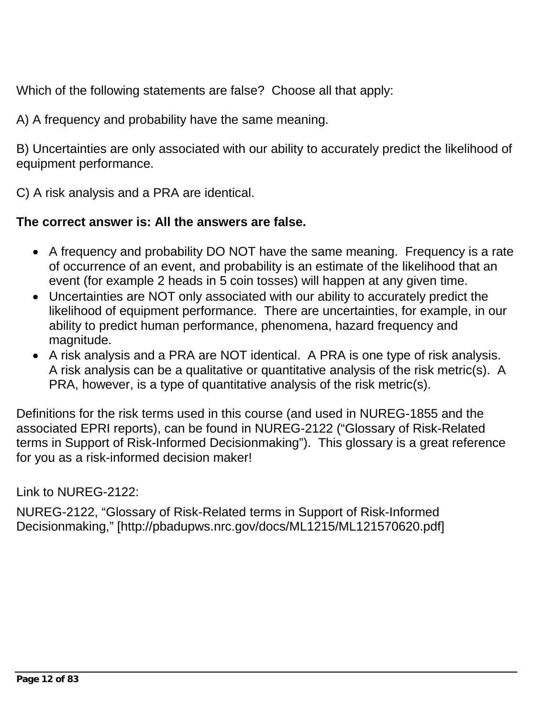Which of the following statements are false? Choose all that apply:

A) A frequency and probability have the same meaning.

B) Uncertainties are only associated with our ability to accurately predict the likelihood of equipment performance.

C) A risk analysis and a PRA are identical.

### **The correct answer is: All the answers are false.**

- A frequency and probability DO NOT have the same meaning. Frequency is a rate of occurrence of an event, and probability is an estimate of the likelihood that an event (for example 2 heads in 5 coin tosses) will happen at any given time.
- Uncertainties are NOT only associated with our ability to accurately predict the likelihood of equipment performance. There are uncertainties, for example, in our ability to predict human performance, phenomena, hazard frequency and magnitude.
- A risk analysis and a PRA are NOT identical. A PRA is one type of risk analysis. A risk analysis can be a qualitative or quantitative analysis of the risk metric(s). A PRA, however, is a type of quantitative analysis of the risk metric(s).

Definitions for the risk terms used in this course (and used in NUREG-1855 and the associated EPRI reports), can be found in NUREG-2122 ("Glossary of Risk-Related terms in Support of Risk-Informed Decisionmaking"). This glossary is a great reference for you as a risk-informed decision maker!

Link to NUREG-2122:

NUREG-2122, "Glossary of Risk-Related terms in Support of Risk-Informed Decisionmaking," [http://pbadupws.nrc.gov/docs/ML1215/ML121570620.pdf]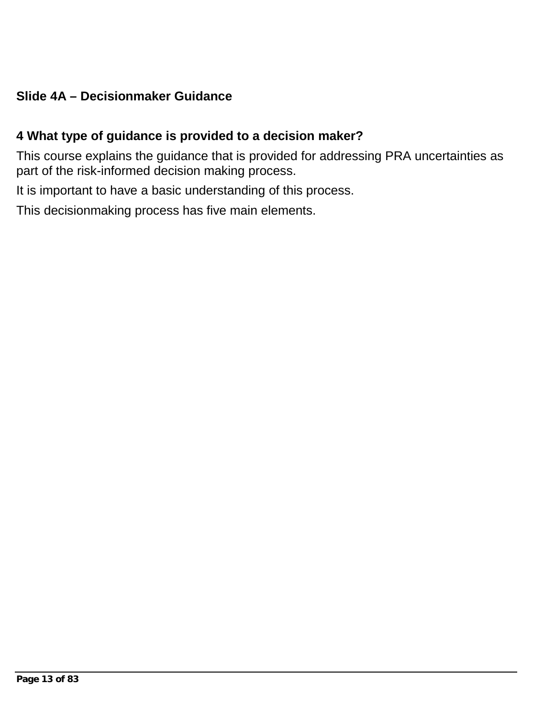### **Slide 4A – Decisionmaker Guidance**

#### **4 What type of guidance is provided to a decision maker?**

This course explains the guidance that is provided for addressing PRA uncertainties as part of the risk-informed decision making process.

It is important to have a basic understanding of this process.

This decisionmaking process has five main elements.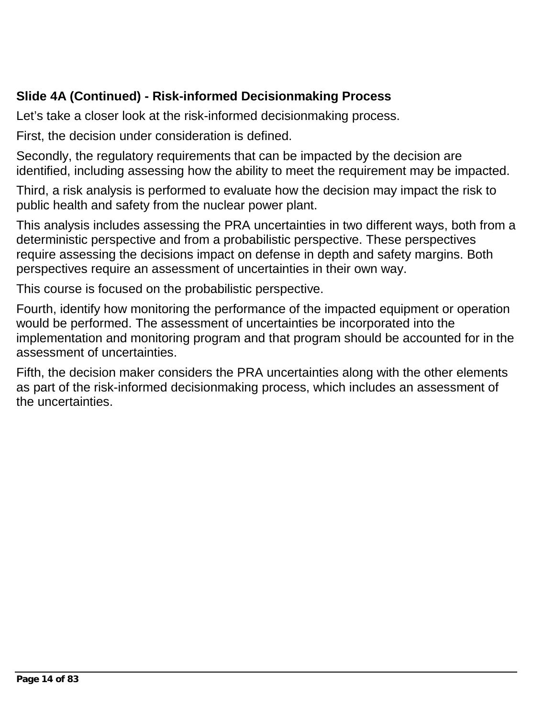# **Slide 4A (Continued) - Risk-informed Decisionmaking Process**

Let's take a closer look at the risk-informed decisionmaking process.

First, the decision under consideration is defined.

Secondly, the regulatory requirements that can be impacted by the decision are identified, including assessing how the ability to meet the requirement may be impacted.

Third, a risk analysis is performed to evaluate how the decision may impact the risk to public health and safety from the nuclear power plant.

This analysis includes assessing the PRA uncertainties in two different ways, both from a deterministic perspective and from a probabilistic perspective. These perspectives require assessing the decisions impact on defense in depth and safety margins. Both perspectives require an assessment of uncertainties in their own way.

This course is focused on the probabilistic perspective.

Fourth, identify how monitoring the performance of the impacted equipment or operation would be performed. The assessment of uncertainties be incorporated into the implementation and monitoring program and that program should be accounted for in the assessment of uncertainties.

Fifth, the decision maker considers the PRA uncertainties along with the other elements as part of the risk-informed decisionmaking process, which includes an assessment of the uncertainties.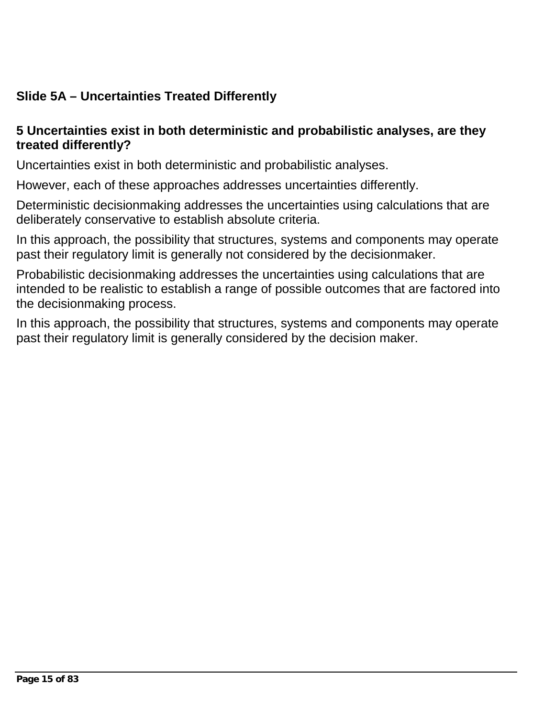# **Slide 5A – Uncertainties Treated Differently**

#### **5 Uncertainties exist in both deterministic and probabilistic analyses, are they treated differently?**

Uncertainties exist in both deterministic and probabilistic analyses.

However, each of these approaches addresses uncertainties differently.

Deterministic decisionmaking addresses the uncertainties using calculations that are deliberately conservative to establish absolute criteria.

In this approach, the possibility that structures, systems and components may operate past their regulatory limit is generally not considered by the decisionmaker.

Probabilistic decisionmaking addresses the uncertainties using calculations that are intended to be realistic to establish a range of possible outcomes that are factored into the decisionmaking process.

In this approach, the possibility that structures, systems and components may operate past their regulatory limit is generally considered by the decision maker.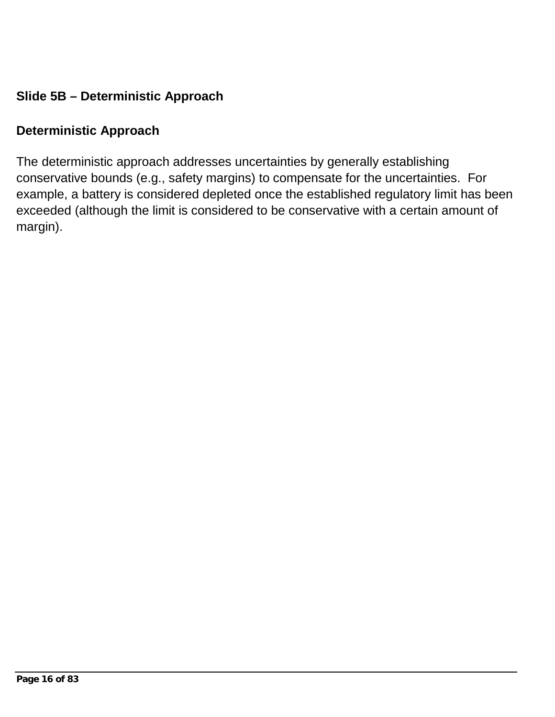## **Slide 5B – Deterministic Approach**

#### **Deterministic Approach**

The deterministic approach addresses uncertainties by generally establishing conservative bounds (e.g., safety margins) to compensate for the uncertainties. For example, a battery is considered depleted once the established regulatory limit has been exceeded (although the limit is considered to be conservative with a certain amount of margin).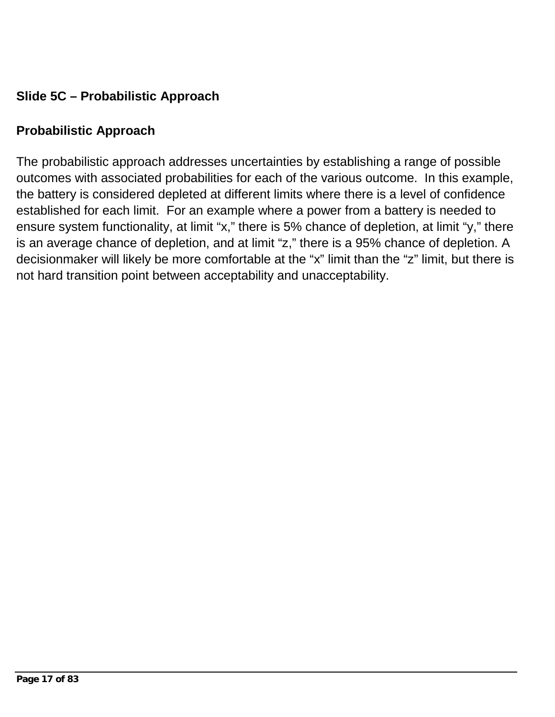# **Slide 5C – Probabilistic Approach**

### **Probabilistic Approach**

The probabilistic approach addresses uncertainties by establishing a range of possible outcomes with associated probabilities for each of the various outcome. In this example, the battery is considered depleted at different limits where there is a level of confidence established for each limit. For an example where a power from a battery is needed to ensure system functionality, at limit "x," there is 5% chance of depletion, at limit "y," there is an average chance of depletion, and at limit "z," there is a 95% chance of depletion. A decisionmaker will likely be more comfortable at the "x" limit than the "z" limit, but there is not hard transition point between acceptability and unacceptability.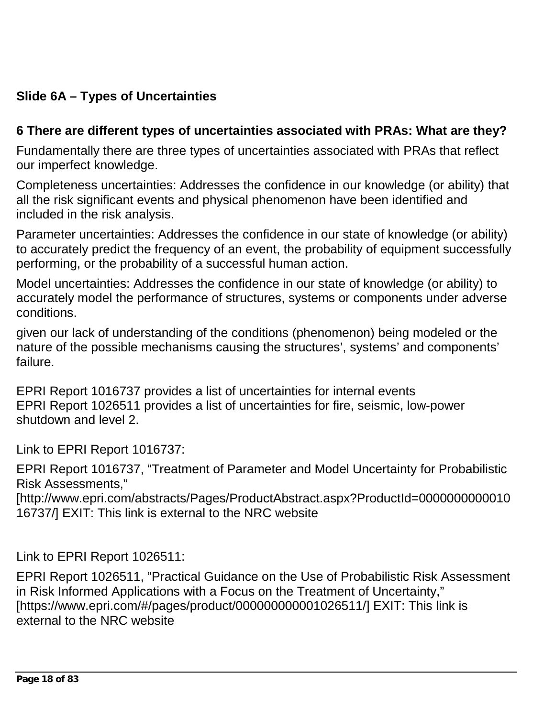# **Slide 6A – Types of Uncertainties**

#### **6 There are different types of uncertainties associated with PRAs: What are they?**

Fundamentally there are three types of uncertainties associated with PRAs that reflect our imperfect knowledge.

Completeness uncertainties: Addresses the confidence in our knowledge (or ability) that all the risk significant events and physical phenomenon have been identified and included in the risk analysis.

Parameter uncertainties: Addresses the confidence in our state of knowledge (or ability) to accurately predict the frequency of an event, the probability of equipment successfully performing, or the probability of a successful human action.

Model uncertainties: Addresses the confidence in our state of knowledge (or ability) to accurately model the performance of structures, systems or components under adverse conditions.

given our lack of understanding of the conditions (phenomenon) being modeled or the nature of the possible mechanisms causing the structures', systems' and components' failure.

EPRI Report 1016737 provides a list of uncertainties for internal events EPRI Report 1026511 provides a list of uncertainties for fire, seismic, low-power shutdown and level 2.

Link to EPRI Report 1016737:

EPRI Report 1016737, "Treatment of Parameter and Model Uncertainty for Probabilistic Risk Assessments,"

[http://www.epri.com/abstracts/Pages/ProductAbstract.aspx?ProductId=0000000000010 16737/] EXIT: This link is external to the NRC website

Link to EPRI Report 1026511:

EPRI Report 1026511, "Practical Guidance on the Use of Probabilistic Risk Assessment in Risk Informed Applications with a Focus on the Treatment of Uncertainty," [https://www.epri.com/#/pages/product/000000000001026511/] EXIT: This link is external to the NRC website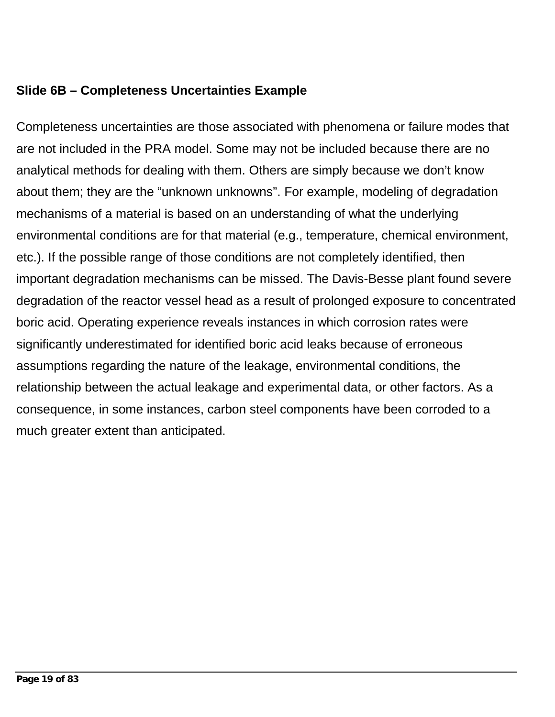### **Slide 6B – Completeness Uncertainties Example**

Completeness uncertainties are those associated with phenomena or failure modes that are not included in the PRA model. Some may not be included because there are no analytical methods for dealing with them. Others are simply because we don't know about them; they are the "unknown unknowns". For example, modeling of degradation mechanisms of a material is based on an understanding of what the underlying environmental conditions are for that material (e.g., temperature, chemical environment, etc.). If the possible range of those conditions are not completely identified, then important degradation mechanisms can be missed. The Davis-Besse plant found severe degradation of the reactor vessel head as a result of prolonged exposure to concentrated boric acid. Operating experience reveals instances in which corrosion rates were significantly underestimated for identified boric acid leaks because of erroneous assumptions regarding the nature of the leakage, environmental conditions, the relationship between the actual leakage and experimental data, or other factors. As a consequence, in some instances, carbon steel components have been corroded to a much greater extent than anticipated.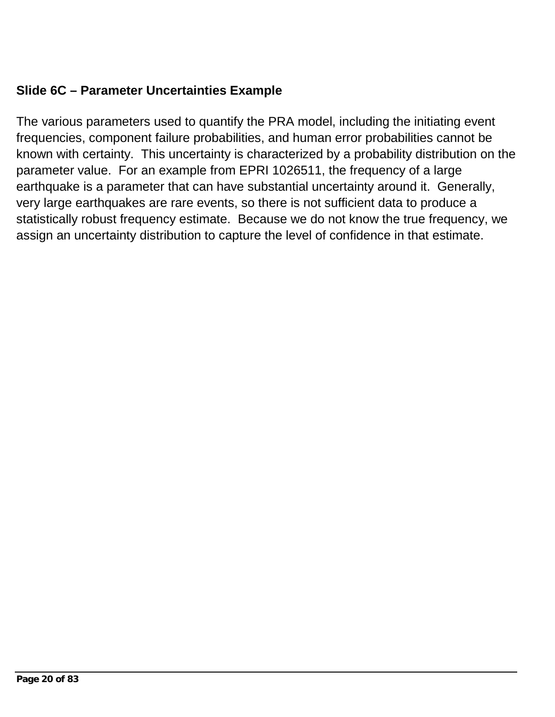## **Slide 6C – Parameter Uncertainties Example**

The various parameters used to quantify the PRA model, including the initiating event frequencies, component failure probabilities, and human error probabilities cannot be known with certainty. This uncertainty is characterized by a probability distribution on the parameter value. For an example from EPRI 1026511, the frequency of a large earthquake is a parameter that can have substantial uncertainty around it. Generally, very large earthquakes are rare events, so there is not sufficient data to produce a statistically robust frequency estimate. Because we do not know the true frequency, we assign an uncertainty distribution to capture the level of confidence in that estimate.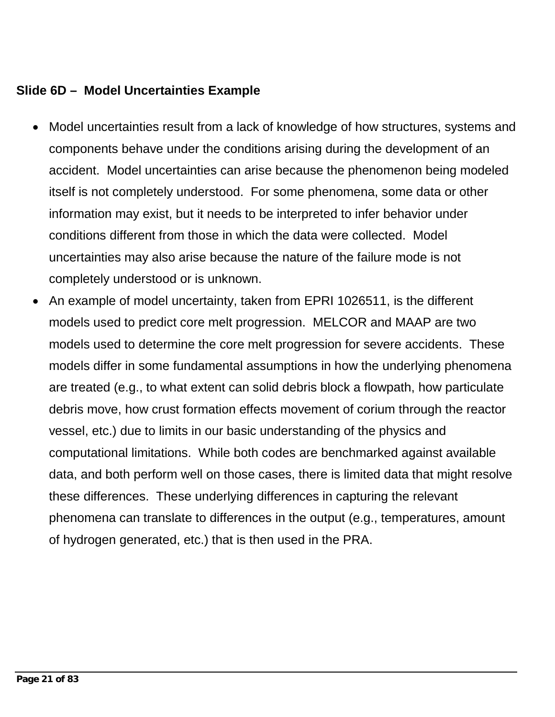#### **Slide 6D – Model Uncertainties Example**

- Model uncertainties result from a lack of knowledge of how structures, systems and components behave under the conditions arising during the development of an accident. Model uncertainties can arise because the phenomenon being modeled itself is not completely understood. For some phenomena, some data or other information may exist, but it needs to be interpreted to infer behavior under conditions different from those in which the data were collected. Model uncertainties may also arise because the nature of the failure mode is not completely understood or is unknown.
- An example of model uncertainty, taken from EPRI 1026511, is the different models used to predict core melt progression. MELCOR and MAAP are two models used to determine the core melt progression for severe accidents. These models differ in some fundamental assumptions in how the underlying phenomena are treated (e.g., to what extent can solid debris block a flowpath, how particulate debris move, how crust formation effects movement of corium through the reactor vessel, etc.) due to limits in our basic understanding of the physics and computational limitations. While both codes are benchmarked against available data, and both perform well on those cases, there is limited data that might resolve these differences. These underlying differences in capturing the relevant phenomena can translate to differences in the output (e.g., temperatures, amount of hydrogen generated, etc.) that is then used in the PRA.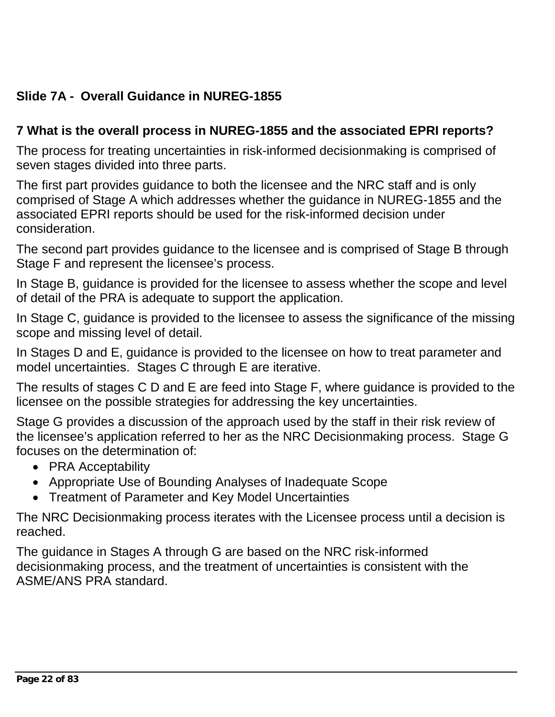# **Slide 7A - Overall Guidance in NUREG-1855**

### **7 What is the overall process in NUREG-1855 and the associated EPRI reports?**

The process for treating uncertainties in risk-informed decisionmaking is comprised of seven stages divided into three parts.

The first part provides guidance to both the licensee and the NRC staff and is only comprised of Stage A which addresses whether the guidance in NUREG-1855 and the associated EPRI reports should be used for the risk-informed decision under consideration.

The second part provides guidance to the licensee and is comprised of Stage B through Stage F and represent the licensee's process.

In Stage B, guidance is provided for the licensee to assess whether the scope and level of detail of the PRA is adequate to support the application.

In Stage C, guidance is provided to the licensee to assess the significance of the missing scope and missing level of detail.

In Stages D and E, guidance is provided to the licensee on how to treat parameter and model uncertainties. Stages C through E are iterative.

The results of stages C D and E are feed into Stage F, where guidance is provided to the licensee on the possible strategies for addressing the key uncertainties.

Stage G provides a discussion of the approach used by the staff in their risk review of the licensee's application referred to her as the NRC Decisionmaking process. Stage G focuses on the determination of:

- PRA Acceptability
- Appropriate Use of Bounding Analyses of Inadequate Scope
- Treatment of Parameter and Key Model Uncertainties

The NRC Decisionmaking process iterates with the Licensee process until a decision is reached.

The guidance in Stages A through G are based on the NRC risk-informed decisionmaking process, and the treatment of uncertainties is consistent with the ASME/ANS PRA standard.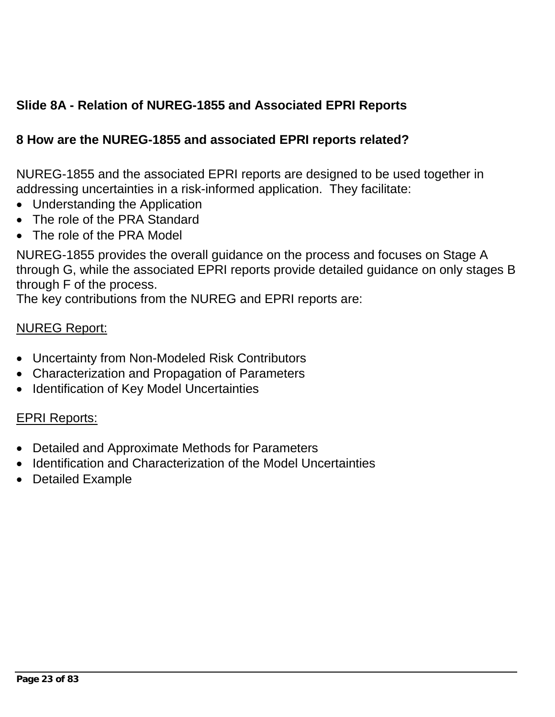# **Slide 8A - Relation of NUREG-1855 and Associated EPRI Reports**

### **8 How are the NUREG-1855 and associated EPRI reports related?**

NUREG-1855 and the associated EPRI reports are designed to be used together in addressing uncertainties in a risk-informed application. They facilitate:

- Understanding the Application
- The role of the PRA Standard
- The role of the PRA Model

NUREG-1855 provides the overall guidance on the process and focuses on Stage A through G, while the associated EPRI reports provide detailed guidance on only stages B through F of the process.

The key contributions from the NUREG and EPRI reports are:

#### NUREG Report:

- Uncertainty from Non-Modeled Risk Contributors
- Characterization and Propagation of Parameters
- Identification of Key Model Uncertainties

#### EPRI Reports:

- Detailed and Approximate Methods for Parameters
- Identification and Characterization of the Model Uncertainties
- Detailed Example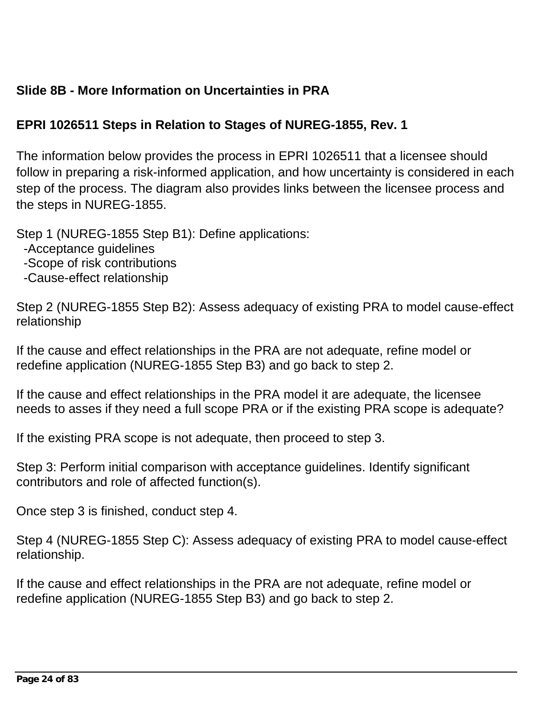## **Slide 8B - More Information on Uncertainties in PRA**

## **EPRI 1026511 Steps in Relation to Stages of NUREG-1855, Rev. 1**

The information below provides the process in EPRI 1026511 that a licensee should follow in preparing a risk-informed application, and how uncertainty is considered in each step of the process. The diagram also provides links between the licensee process and the steps in NUREG-1855.

Step 1 (NUREG-1855 Step B1): Define applications:

- -Acceptance guidelines
- -Scope of risk contributions
- -Cause-effect relationship

Step 2 (NUREG-1855 Step B2): Assess adequacy of existing PRA to model cause-effect relationship

If the cause and effect relationships in the PRA are not adequate, refine model or redefine application (NUREG-1855 Step B3) and go back to step 2.

If the cause and effect relationships in the PRA model it are adequate, the licensee needs to asses if they need a full scope PRA or if the existing PRA scope is adequate?

If the existing PRA scope is not adequate, then proceed to step 3.

Step 3: Perform initial comparison with acceptance guidelines. Identify significant contributors and role of affected function(s).

Once step 3 is finished, conduct step 4.

Step 4 (NUREG-1855 Step C): Assess adequacy of existing PRA to model cause-effect relationship.

If the cause and effect relationships in the PRA are not adequate, refine model or redefine application (NUREG-1855 Step B3) and go back to step 2.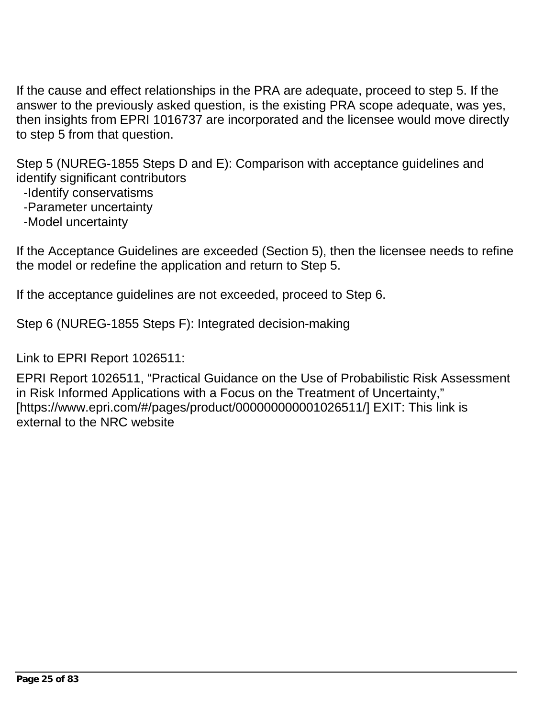If the cause and effect relationships in the PRA are adequate, proceed to step 5. If the answer to the previously asked question, is the existing PRA scope adequate, was yes, then insights from EPRI 1016737 are incorporated and the licensee would move directly to step 5 from that question.

Step 5 (NUREG-1855 Steps D and E): Comparison with acceptance guidelines and identify significant contributors

-Identify conservatisms

-Parameter uncertainty

-Model uncertainty

If the Acceptance Guidelines are exceeded (Section 5), then the licensee needs to refine the model or redefine the application and return to Step 5.

If the acceptance guidelines are not exceeded, proceed to Step 6.

Step 6 (NUREG-1855 Steps F): Integrated decision-making

Link to EPRI Report 1026511:

EPRI Report 1026511, "Practical Guidance on the Use of Probabilistic Risk Assessment in Risk Informed Applications with a Focus on the Treatment of Uncertainty," [https://www.epri.com/#/pages/product/000000000001026511/] EXIT: This link is external to the NRC website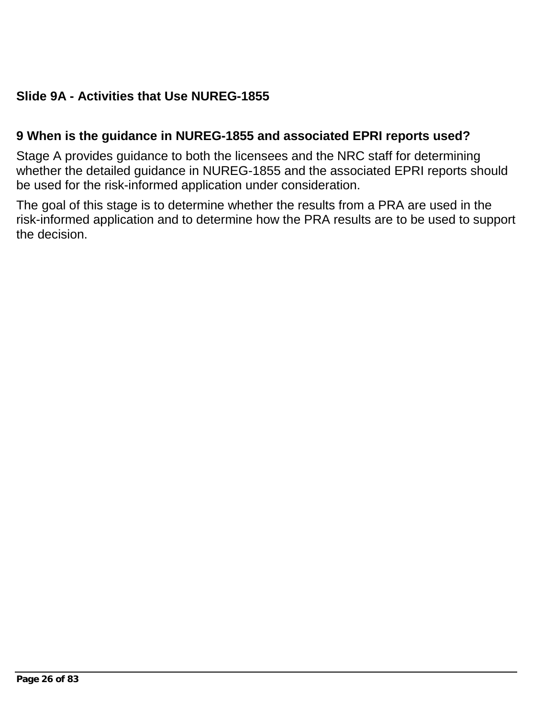# **Slide 9A - Activities that Use NUREG-1855**

#### **9 When is the guidance in NUREG-1855 and associated EPRI reports used?**

Stage A provides guidance to both the licensees and the NRC staff for determining whether the detailed guidance in NUREG-1855 and the associated EPRI reports should be used for the risk-informed application under consideration.

The goal of this stage is to determine whether the results from a PRA are used in the risk-informed application and to determine how the PRA results are to be used to support the decision.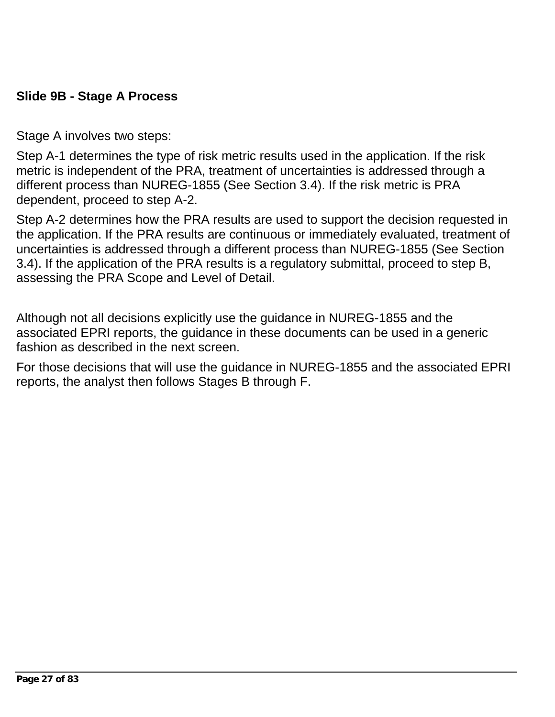### **Slide 9B - Stage A Process**

Stage A involves two steps:

Step A-1 determines the type of risk metric results used in the application. If the risk metric is independent of the PRA, treatment of uncertainties is addressed through a different process than NUREG-1855 (See Section 3.4). If the risk metric is PRA dependent, proceed to step A-2.

Step A-2 determines how the PRA results are used to support the decision requested in the application. If the PRA results are continuous or immediately evaluated, treatment of uncertainties is addressed through a different process than NUREG-1855 (See Section 3.4). If the application of the PRA results is a regulatory submittal, proceed to step B, assessing the PRA Scope and Level of Detail.

Although not all decisions explicitly use the guidance in NUREG-1855 and the associated EPRI reports, the guidance in these documents can be used in a generic fashion as described in the next screen.

For those decisions that will use the guidance in NUREG-1855 and the associated EPRI reports, the analyst then follows Stages B through F.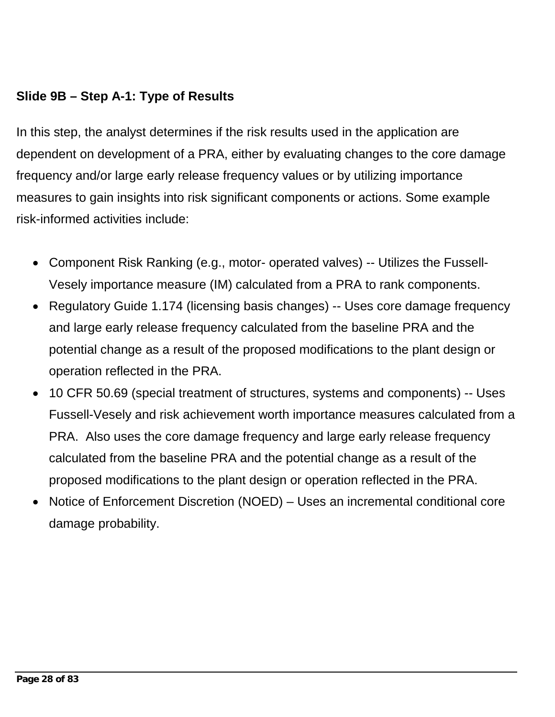### **Slide 9B – Step A-1: Type of Results**

In this step, the analyst determines if the risk results used in the application are dependent on development of a PRA, either by evaluating changes to the core damage frequency and/or large early release frequency values or by utilizing importance measures to gain insights into risk significant components or actions. Some example risk-informed activities include:

- Component Risk Ranking (e.g., motor- operated valves) -- Utilizes the Fussell-Vesely importance measure (IM) calculated from a PRA to rank components.
- Regulatory Guide 1.174 (licensing basis changes) -- Uses core damage frequency and large early release frequency calculated from the baseline PRA and the potential change as a result of the proposed modifications to the plant design or operation reflected in the PRA.
- 10 CFR 50.69 (special treatment of structures, systems and components) -- Uses Fussell-Vesely and risk achievement worth importance measures calculated from a PRA. Also uses the core damage frequency and large early release frequency calculated from the baseline PRA and the potential change as a result of the proposed modifications to the plant design or operation reflected in the PRA.
- Notice of Enforcement Discretion (NOED) Uses an incremental conditional core damage probability.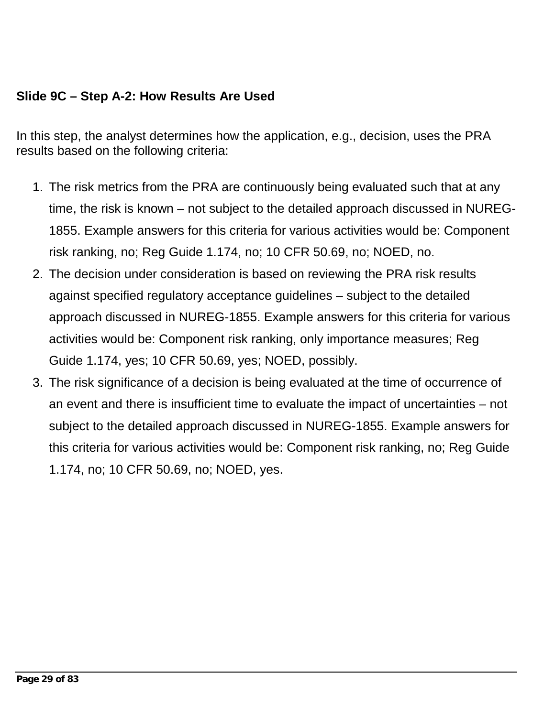### **Slide 9C – Step A-2: How Results Are Used**

In this step, the analyst determines how the application, e.g., decision, uses the PRA results based on the following criteria:

- 1. The risk metrics from the PRA are continuously being evaluated such that at any time, the risk is known – not subject to the detailed approach discussed in NUREG-1855. Example answers for this criteria for various activities would be: Component risk ranking, no; Reg Guide 1.174, no; 10 CFR 50.69, no; NOED, no.
- 2. The decision under consideration is based on reviewing the PRA risk results against specified regulatory acceptance guidelines – subject to the detailed approach discussed in NUREG-1855. Example answers for this criteria for various activities would be: Component risk ranking, only importance measures; Reg Guide 1.174, yes; 10 CFR 50.69, yes; NOED, possibly.
- 3. The risk significance of a decision is being evaluated at the time of occurrence of an event and there is insufficient time to evaluate the impact of uncertainties – not subject to the detailed approach discussed in NUREG-1855. Example answers for this criteria for various activities would be: Component risk ranking, no; Reg Guide 1.174, no; 10 CFR 50.69, no; NOED, yes.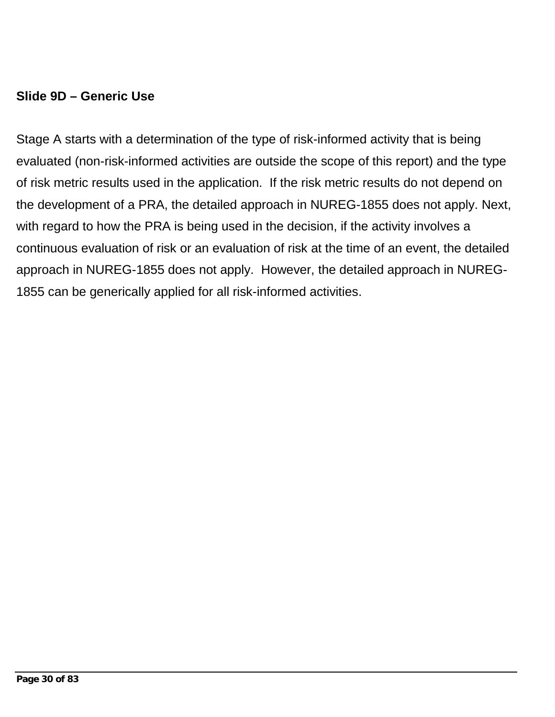### **Slide 9D – Generic Use**

Stage A starts with a determination of the type of risk-informed activity that is being evaluated (non-risk-informed activities are outside the scope of this report) and the type of risk metric results used in the application. If the risk metric results do not depend on the development of a PRA, the detailed approach in NUREG-1855 does not apply. Next, with regard to how the PRA is being used in the decision, if the activity involves a continuous evaluation of risk or an evaluation of risk at the time of an event, the detailed approach in NUREG-1855 does not apply. However, the detailed approach in NUREG-1855 can be generically applied for all risk-informed activities.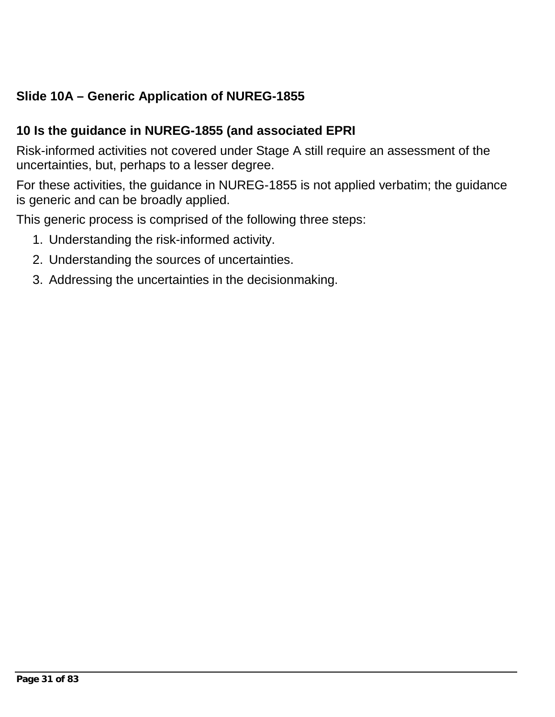# **Slide 10A – Generic Application of NUREG-1855**

### **10 Is the guidance in NUREG-1855 (and associated EPRI**

Risk-informed activities not covered under Stage A still require an assessment of the uncertainties, but, perhaps to a lesser degree.

For these activities, the guidance in NUREG-1855 is not applied verbatim; the guidance is generic and can be broadly applied.

This generic process is comprised of the following three steps:

- 1. Understanding the risk-informed activity.
- 2. Understanding the sources of uncertainties.
- 3. Addressing the uncertainties in the decisionmaking.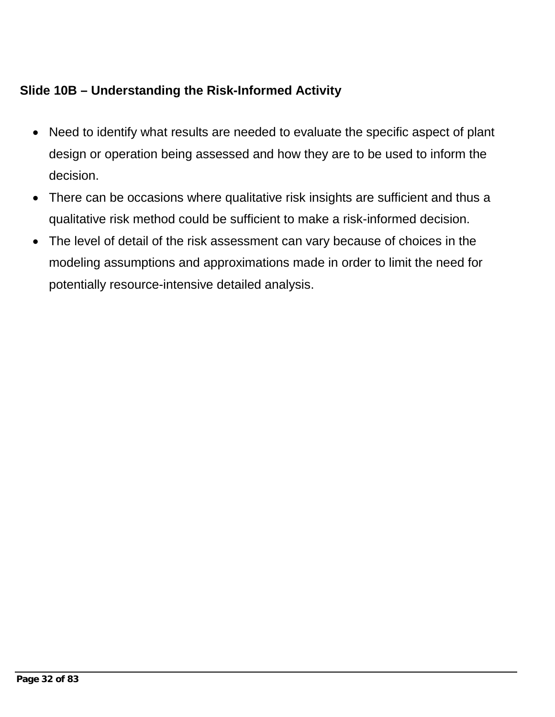# **Slide 10B – Understanding the Risk-Informed Activity**

- Need to identify what results are needed to evaluate the specific aspect of plant design or operation being assessed and how they are to be used to inform the decision.
- There can be occasions where qualitative risk insights are sufficient and thus a qualitative risk method could be sufficient to make a risk-informed decision.
- The level of detail of the risk assessment can vary because of choices in the modeling assumptions and approximations made in order to limit the need for potentially resource-intensive detailed analysis.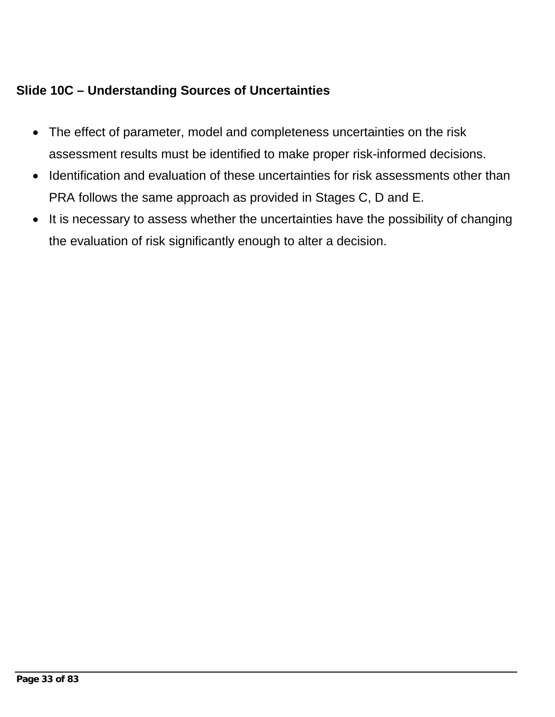# **Slide 10C – Understanding Sources of Uncertainties**

- The effect of parameter, model and completeness uncertainties on the risk assessment results must be identified to make proper risk-informed decisions.
- Identification and evaluation of these uncertainties for risk assessments other than PRA follows the same approach as provided in Stages C, D and E.
- It is necessary to assess whether the uncertainties have the possibility of changing the evaluation of risk significantly enough to alter a decision.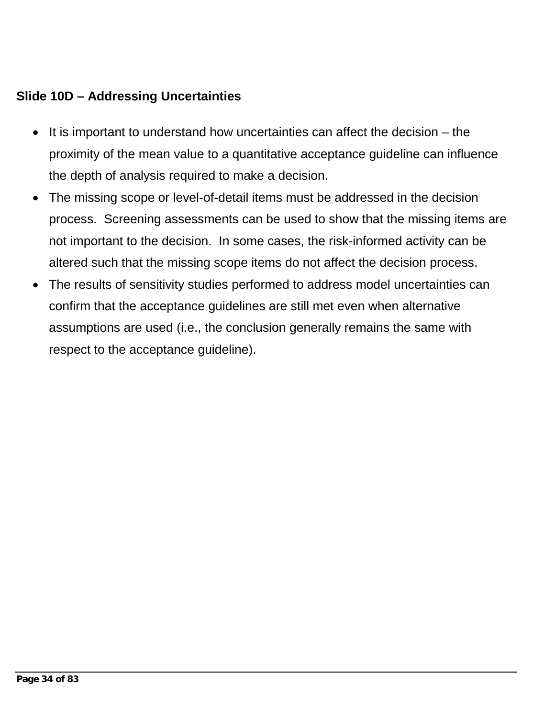### **Slide 10D – Addressing Uncertainties**

- It is important to understand how uncertainties can affect the decision the proximity of the mean value to a quantitative acceptance guideline can influence the depth of analysis required to make a decision.
- The missing scope or level-of-detail items must be addressed in the decision process. Screening assessments can be used to show that the missing items are not important to the decision. In some cases, the risk-informed activity can be altered such that the missing scope items do not affect the decision process.
- The results of sensitivity studies performed to address model uncertainties can confirm that the acceptance guidelines are still met even when alternative assumptions are used (i.e., the conclusion generally remains the same with respect to the acceptance guideline).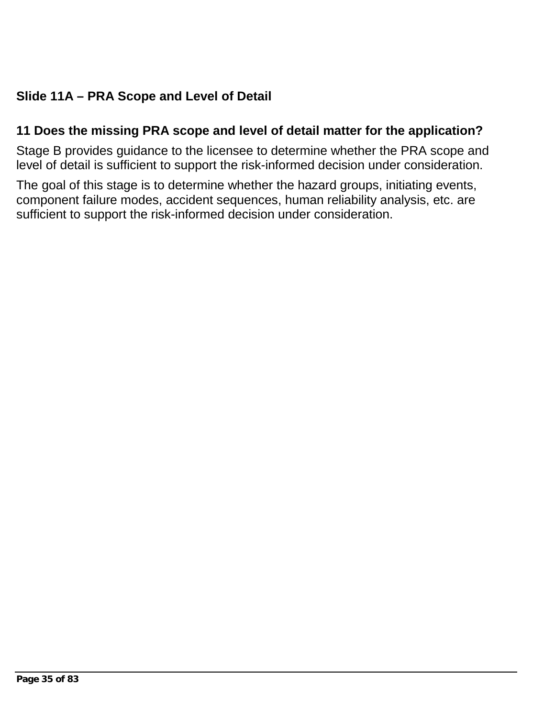# **Slide 11A – PRA Scope and Level of Detail**

#### **11 Does the missing PRA scope and level of detail matter for the application?**

Stage B provides guidance to the licensee to determine whether the PRA scope and level of detail is sufficient to support the risk-informed decision under consideration.

The goal of this stage is to determine whether the hazard groups, initiating events, component failure modes, accident sequences, human reliability analysis, etc. are sufficient to support the risk-informed decision under consideration.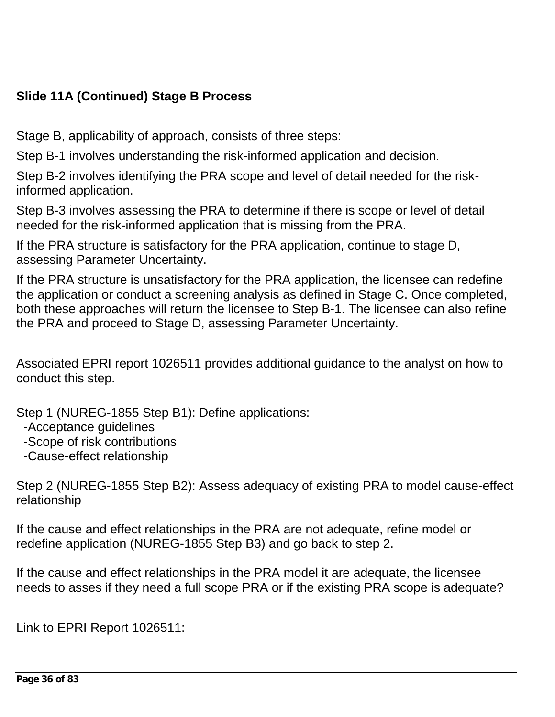## **Slide 11A (Continued) Stage B Process**

Stage B, applicability of approach, consists of three steps:

Step B-1 involves understanding the risk-informed application and decision.

Step B-2 involves identifying the PRA scope and level of detail needed for the riskinformed application.

Step B-3 involves assessing the PRA to determine if there is scope or level of detail needed for the risk-informed application that is missing from the PRA.

If the PRA structure is satisfactory for the PRA application, continue to stage D, assessing Parameter Uncertainty.

If the PRA structure is unsatisfactory for the PRA application, the licensee can redefine the application or conduct a screening analysis as defined in Stage C. Once completed, both these approaches will return the licensee to Step B-1. The licensee can also refine the PRA and proceed to Stage D, assessing Parameter Uncertainty.

Associated EPRI report 1026511 provides additional guidance to the analyst on how to conduct this step.

Step 1 (NUREG-1855 Step B1): Define applications:

-Acceptance guidelines

-Scope of risk contributions

-Cause-effect relationship

Step 2 (NUREG-1855 Step B2): Assess adequacy of existing PRA to model cause-effect relationship

If the cause and effect relationships in the PRA are not adequate, refine model or redefine application (NUREG-1855 Step B3) and go back to step 2.

If the cause and effect relationships in the PRA model it are adequate, the licensee needs to asses if they need a full scope PRA or if the existing PRA scope is adequate?

Link to EPRI Report 1026511: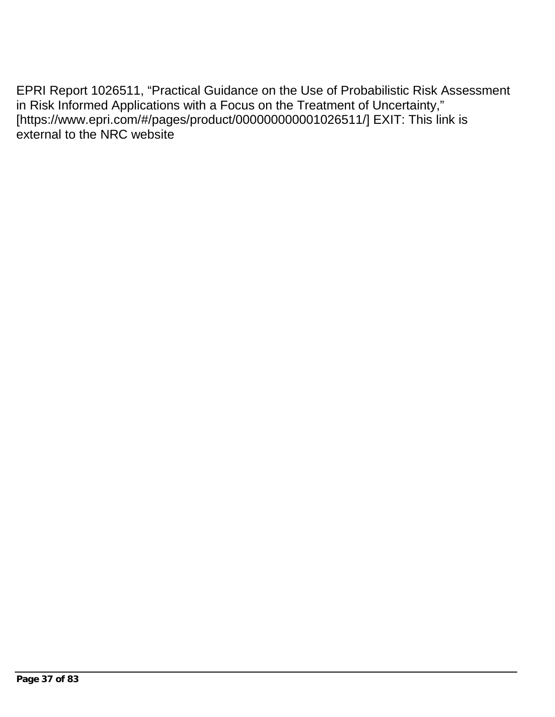EPRI Report 1026511, "Practical Guidance on the Use of Probabilistic Risk Assessment in Risk Informed Applications with a Focus on the Treatment of Uncertainty," [https://www.epri.com/#/pages/product/000000000001026511/] EXIT: This link is external to the NRC website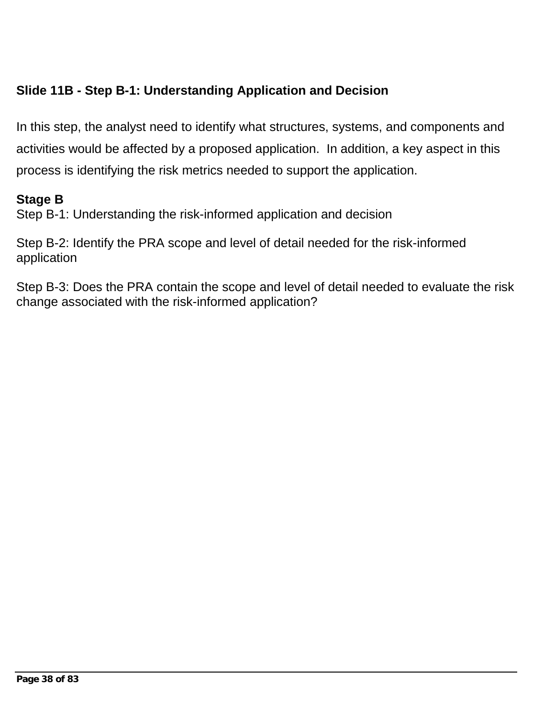# **Slide 11B - Step B-1: Understanding Application and Decision**

In this step, the analyst need to identify what structures, systems, and components and activities would be affected by a proposed application. In addition, a key aspect in this process is identifying the risk metrics needed to support the application.

### **Stage B**

Step B-1: Understanding the risk-informed application and decision

Step B-2: Identify the PRA scope and level of detail needed for the risk-informed application

Step B-3: Does the PRA contain the scope and level of detail needed to evaluate the risk change associated with the risk-informed application?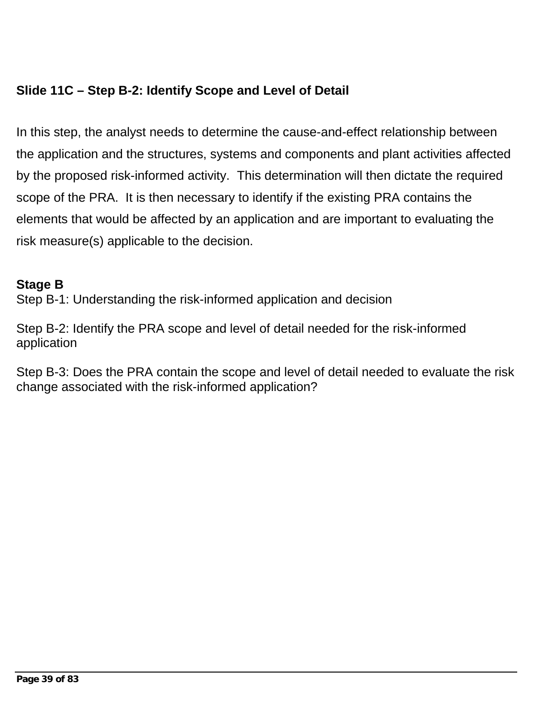# **Slide 11C – Step B-2: Identify Scope and Level of Detail**

In this step, the analyst needs to determine the cause-and-effect relationship between the application and the structures, systems and components and plant activities affected by the proposed risk-informed activity. This determination will then dictate the required scope of the PRA. It is then necessary to identify if the existing PRA contains the elements that would be affected by an application and are important to evaluating the risk measure(s) applicable to the decision.

#### **Stage B**

Step B-1: Understanding the risk-informed application and decision

Step B-2: Identify the PRA scope and level of detail needed for the risk-informed application

Step B-3: Does the PRA contain the scope and level of detail needed to evaluate the risk change associated with the risk-informed application?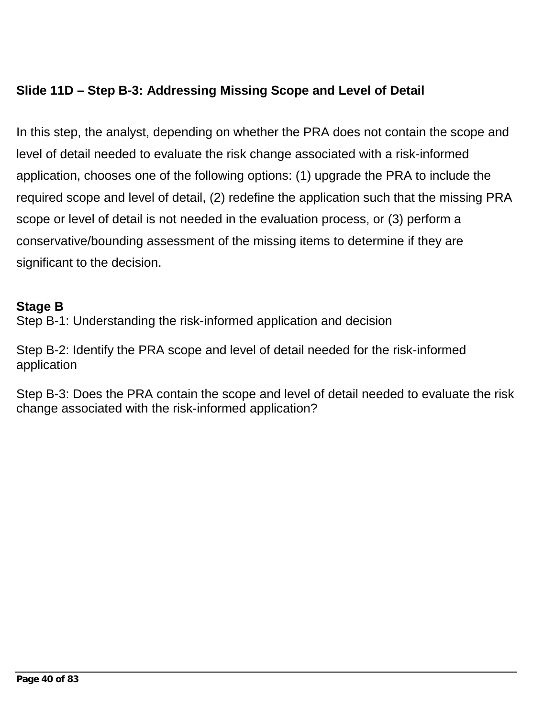# **Slide 11D – Step B-3: Addressing Missing Scope and Level of Detail**

In this step, the analyst, depending on whether the PRA does not contain the scope and level of detail needed to evaluate the risk change associated with a risk-informed application, chooses one of the following options: (1) upgrade the PRA to include the required scope and level of detail, (2) redefine the application such that the missing PRA scope or level of detail is not needed in the evaluation process, or (3) perform a conservative/bounding assessment of the missing items to determine if they are significant to the decision.

#### **Stage B**

Step B-1: Understanding the risk-informed application and decision

Step B-2: Identify the PRA scope and level of detail needed for the risk-informed application

Step B-3: Does the PRA contain the scope and level of detail needed to evaluate the risk change associated with the risk-informed application?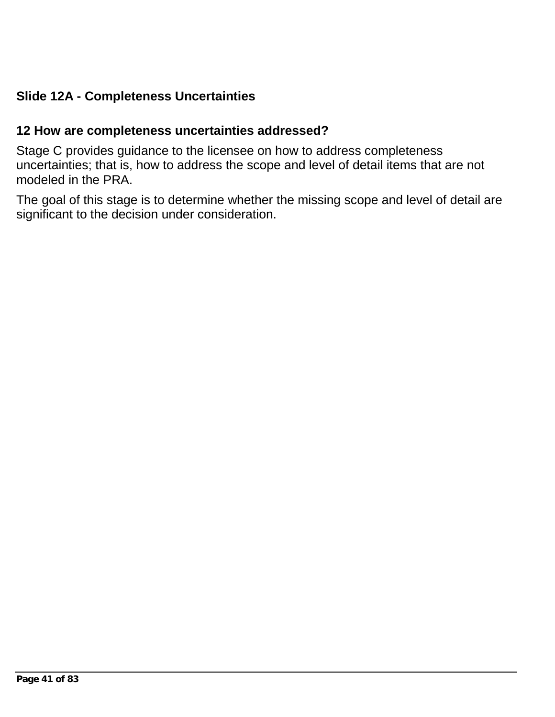## **Slide 12A - Completeness Uncertainties**

#### **12 How are completeness uncertainties addressed?**

Stage C provides guidance to the licensee on how to address completeness uncertainties; that is, how to address the scope and level of detail items that are not modeled in the PRA.

The goal of this stage is to determine whether the missing scope and level of detail are significant to the decision under consideration.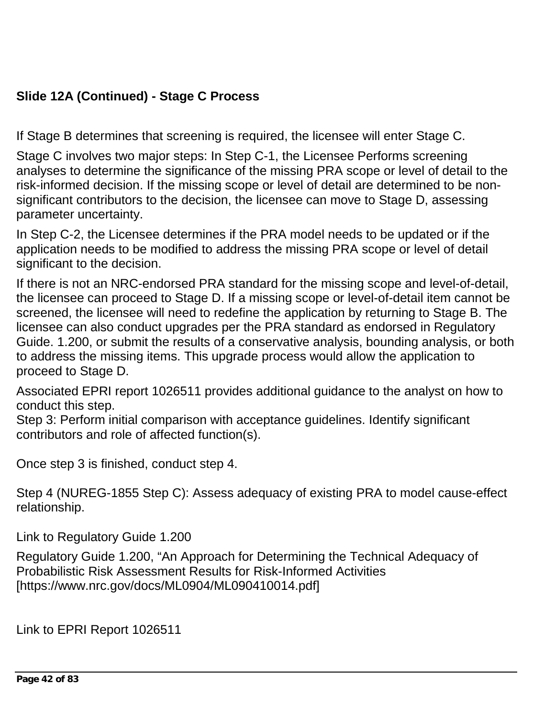# **Slide 12A (Continued) - Stage C Process**

If Stage B determines that screening is required, the licensee will enter Stage C.

Stage C involves two major steps: In Step C-1, the Licensee Performs screening analyses to determine the significance of the missing PRA scope or level of detail to the risk-informed decision. If the missing scope or level of detail are determined to be nonsignificant contributors to the decision, the licensee can move to Stage D, assessing parameter uncertainty.

In Step C-2, the Licensee determines if the PRA model needs to be updated or if the application needs to be modified to address the missing PRA scope or level of detail significant to the decision.

If there is not an NRC-endorsed PRA standard for the missing scope and level-of-detail, the licensee can proceed to Stage D. If a missing scope or level-of-detail item cannot be screened, the licensee will need to redefine the application by returning to Stage B. The licensee can also conduct upgrades per the PRA standard as endorsed in Regulatory Guide. 1.200, or submit the results of a conservative analysis, bounding analysis, or both to address the missing items. This upgrade process would allow the application to proceed to Stage D.

Associated EPRI report 1026511 provides additional guidance to the analyst on how to conduct this step.

Step 3: Perform initial comparison with acceptance guidelines. Identify significant contributors and role of affected function(s).

Once step 3 is finished, conduct step 4.

Step 4 (NUREG-1855 Step C): Assess adequacy of existing PRA to model cause-effect relationship.

Link to Regulatory Guide 1.200

Regulatory Guide 1.200, "An Approach for Determining the Technical Adequacy of Probabilistic Risk Assessment Results for Risk-Informed Activities [https://www.nrc.gov/docs/ML0904/ML090410014.pdf]

Link to EPRI Report 1026511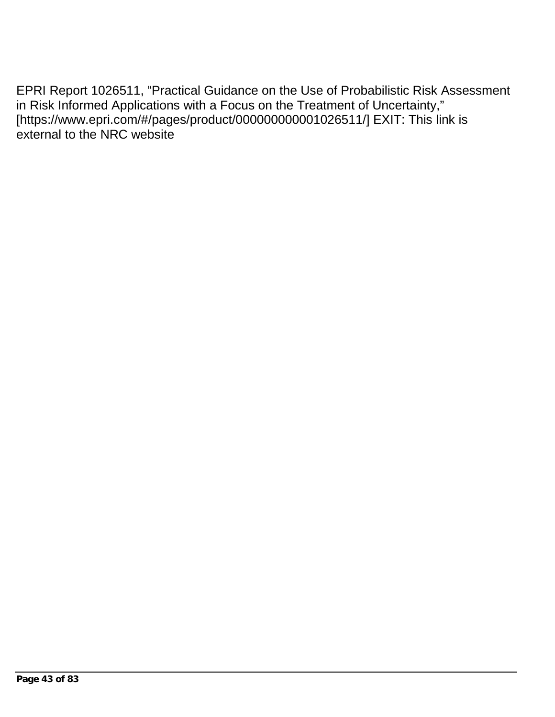EPRI Report 1026511, "Practical Guidance on the Use of Probabilistic Risk Assessment in Risk Informed Applications with a Focus on the Treatment of Uncertainty," [https://www.epri.com/#/pages/product/000000000001026511/] EXIT: This link is external to the NRC website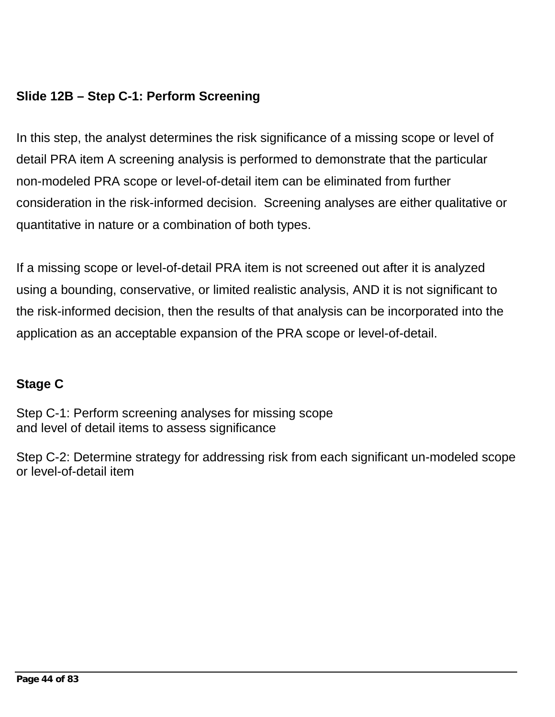# **Slide 12B – Step C-1: Perform Screening**

In this step, the analyst determines the risk significance of a missing scope or level of detail PRA item A screening analysis is performed to demonstrate that the particular non-modeled PRA scope or level-of-detail item can be eliminated from further consideration in the risk-informed decision. Screening analyses are either qualitative or quantitative in nature or a combination of both types.

If a missing scope or level-of-detail PRA item is not screened out after it is analyzed using a bounding, conservative, or limited realistic analysis, AND it is not significant to the risk-informed decision, then the results of that analysis can be incorporated into the application as an acceptable expansion of the PRA scope or level-of-detail.

# **Stage C**

Step C-1: Perform screening analyses for missing scope and level of detail items to assess significance

Step C-2: Determine strategy for addressing risk from each significant un-modeled scope or level-of-detail item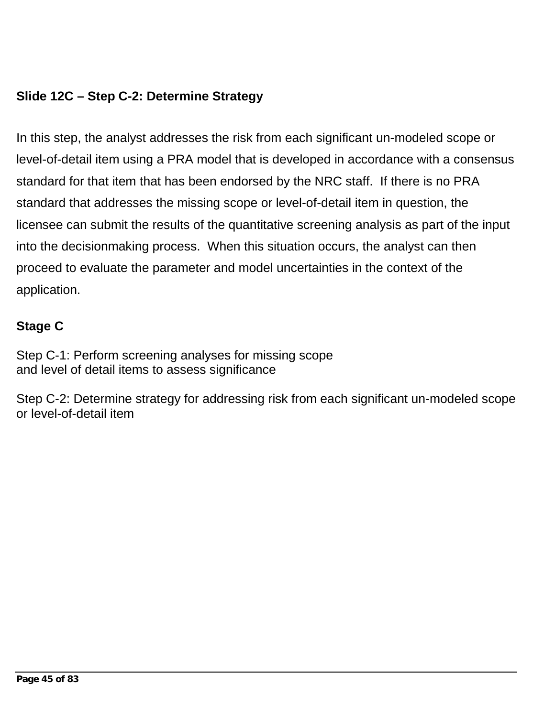## **Slide 12C – Step C-2: Determine Strategy**

In this step, the analyst addresses the risk from each significant un-modeled scope or level-of-detail item using a PRA model that is developed in accordance with a consensus standard for that item that has been endorsed by the NRC staff. If there is no PRA standard that addresses the missing scope or level-of-detail item in question, the licensee can submit the results of the quantitative screening analysis as part of the input into the decisionmaking process. When this situation occurs, the analyst can then proceed to evaluate the parameter and model uncertainties in the context of the application.

### **Stage C**

Step C-1: Perform screening analyses for missing scope and level of detail items to assess significance

Step C-2: Determine strategy for addressing risk from each significant un-modeled scope or level-of-detail item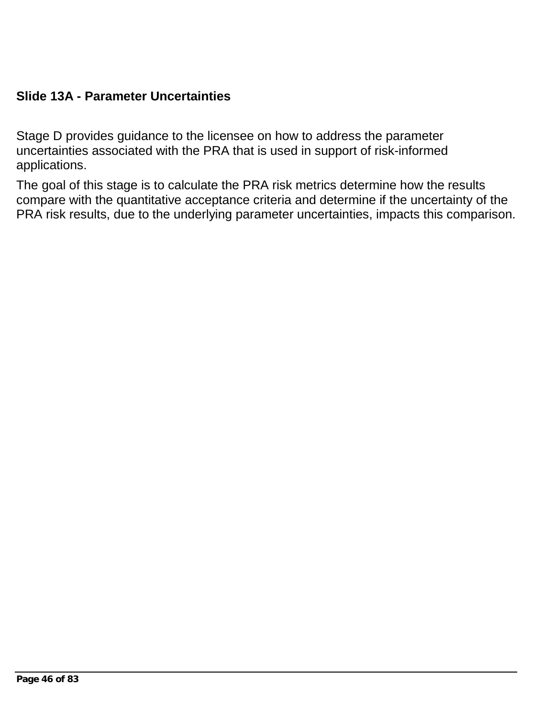### **Slide 13A - Parameter Uncertainties**

Stage D provides guidance to the licensee on how to address the parameter uncertainties associated with the PRA that is used in support of risk-informed applications.

The goal of this stage is to calculate the PRA risk metrics determine how the results compare with the quantitative acceptance criteria and determine if the uncertainty of the PRA risk results, due to the underlying parameter uncertainties, impacts this comparison.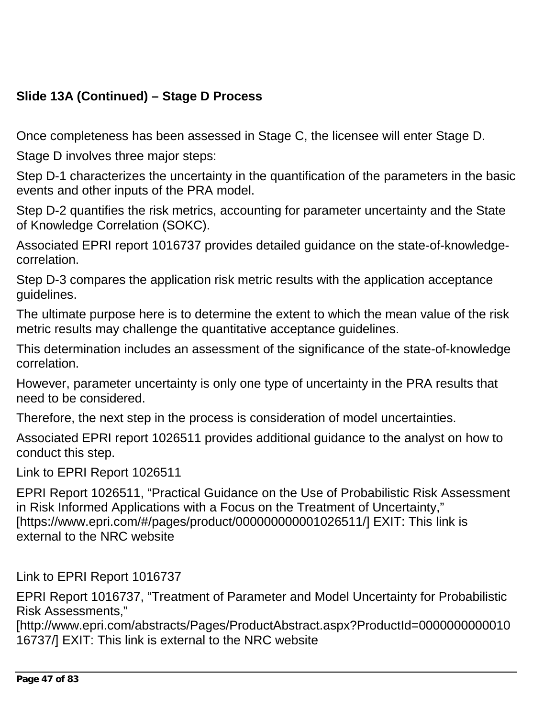# **Slide 13A (Continued) – Stage D Process**

Once completeness has been assessed in Stage C, the licensee will enter Stage D.

Stage D involves three major steps:

Step D-1 characterizes the uncertainty in the quantification of the parameters in the basic events and other inputs of the PRA model.

Step D-2 quantifies the risk metrics, accounting for parameter uncertainty and the State of Knowledge Correlation (SOKC).

Associated EPRI report 1016737 provides detailed guidance on the state-of-knowledgecorrelation.

Step D-3 compares the application risk metric results with the application acceptance guidelines.

The ultimate purpose here is to determine the extent to which the mean value of the risk metric results may challenge the quantitative acceptance guidelines.

This determination includes an assessment of the significance of the state-of-knowledge correlation.

However, parameter uncertainty is only one type of uncertainty in the PRA results that need to be considered.

Therefore, the next step in the process is consideration of model uncertainties.

Associated EPRI report 1026511 provides additional guidance to the analyst on how to conduct this step.

Link to EPRI Report 1026511

EPRI Report 1026511, "Practical Guidance on the Use of Probabilistic Risk Assessment in Risk Informed Applications with a Focus on the Treatment of Uncertainty," [https://www.epri.com/#/pages/product/000000000001026511/] EXIT: This link is external to the NRC website

Link to EPRI Report 1016737

EPRI Report 1016737, "Treatment of Parameter and Model Uncertainty for Probabilistic Risk Assessments,"

[http://www.epri.com/abstracts/Pages/ProductAbstract.aspx?ProductId=0000000000010 16737/] EXIT: This link is external to the NRC website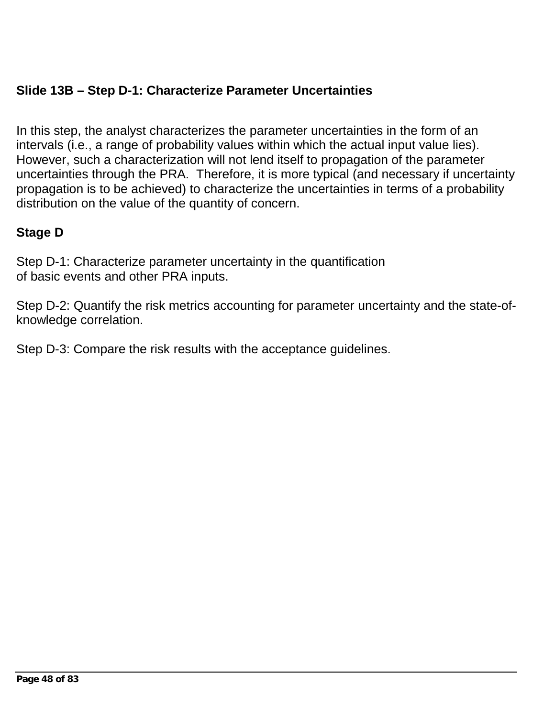## **Slide 13B – Step D-1: Characterize Parameter Uncertainties**

In this step, the analyst characterizes the parameter uncertainties in the form of an intervals (i.e., a range of probability values within which the actual input value lies). However, such a characterization will not lend itself to propagation of the parameter uncertainties through the PRA. Therefore, it is more typical (and necessary if uncertainty propagation is to be achieved) to characterize the uncertainties in terms of a probability distribution on the value of the quantity of concern.

## **Stage D**

Step D-1: Characterize parameter uncertainty in the quantification of basic events and other PRA inputs.

Step D-2: Quantify the risk metrics accounting for parameter uncertainty and the state-ofknowledge correlation.

Step D-3: Compare the risk results with the acceptance guidelines.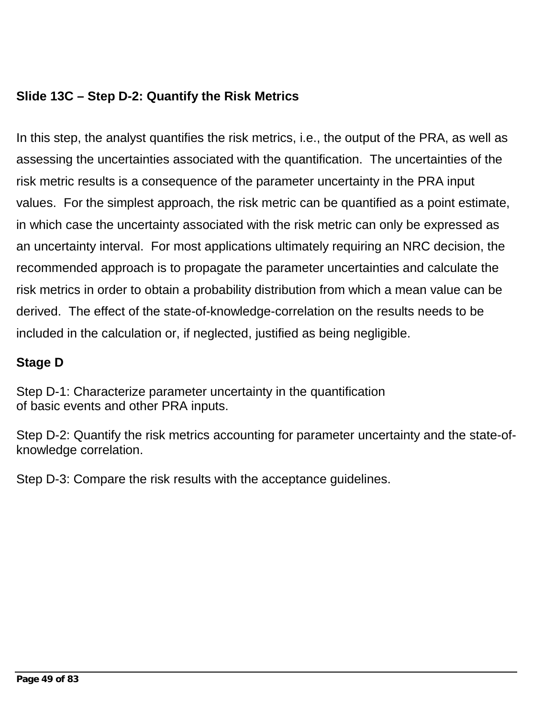# **Slide 13C – Step D-2: Quantify the Risk Metrics**

In this step, the analyst quantifies the risk metrics, i.e., the output of the PRA, as well as assessing the uncertainties associated with the quantification. The uncertainties of the risk metric results is a consequence of the parameter uncertainty in the PRA input values. For the simplest approach, the risk metric can be quantified as a point estimate, in which case the uncertainty associated with the risk metric can only be expressed as an uncertainty interval. For most applications ultimately requiring an NRC decision, the recommended approach is to propagate the parameter uncertainties and calculate the risk metrics in order to obtain a probability distribution from which a mean value can be derived. The effect of the state-of-knowledge-correlation on the results needs to be included in the calculation or, if neglected, justified as being negligible.

### **Stage D**

Step D-1: Characterize parameter uncertainty in the quantification of basic events and other PRA inputs.

Step D-2: Quantify the risk metrics accounting for parameter uncertainty and the state-ofknowledge correlation.

Step D-3: Compare the risk results with the acceptance guidelines.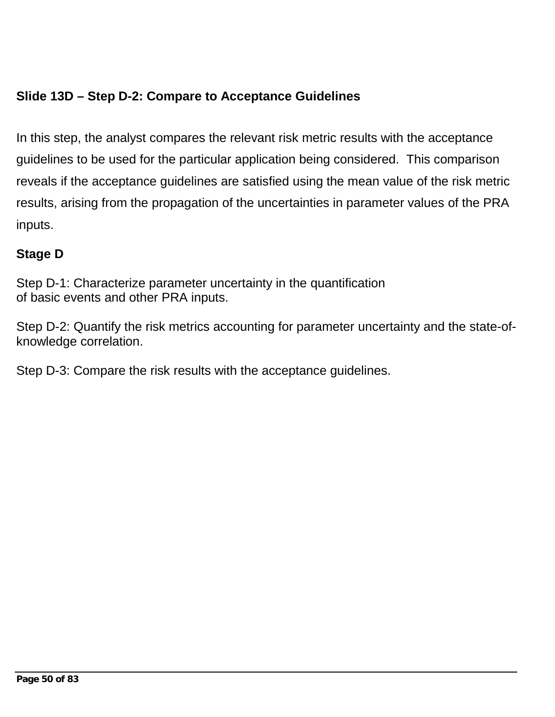# **Slide 13D – Step D-2: Compare to Acceptance Guidelines**

In this step, the analyst compares the relevant risk metric results with the acceptance guidelines to be used for the particular application being considered. This comparison reveals if the acceptance guidelines are satisfied using the mean value of the risk metric results, arising from the propagation of the uncertainties in parameter values of the PRA inputs.

## **Stage D**

Step D-1: Characterize parameter uncertainty in the quantification of basic events and other PRA inputs.

Step D-2: Quantify the risk metrics accounting for parameter uncertainty and the state-ofknowledge correlation.

Step D-3: Compare the risk results with the acceptance guidelines.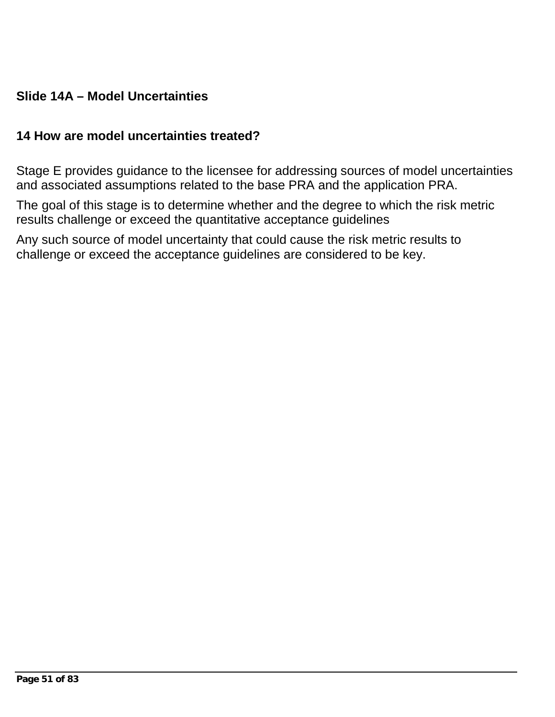### **Slide 14A – Model Uncertainties**

#### **14 How are model uncertainties treated?**

Stage E provides guidance to the licensee for addressing sources of model uncertainties and associated assumptions related to the base PRA and the application PRA.

The goal of this stage is to determine whether and the degree to which the risk metric results challenge or exceed the quantitative acceptance guidelines

Any such source of model uncertainty that could cause the risk metric results to challenge or exceed the acceptance guidelines are considered to be key.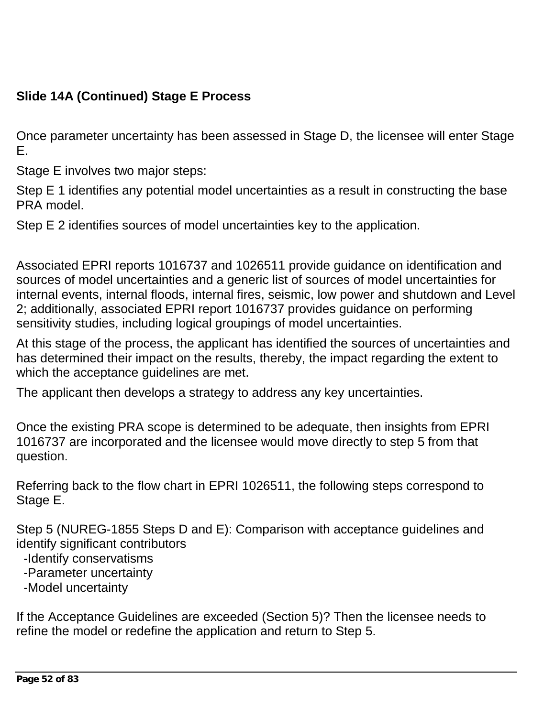# **Slide 14A (Continued) Stage E Process**

Once parameter uncertainty has been assessed in Stage D, the licensee will enter Stage E.

Stage E involves two major steps:

Step E 1 identifies any potential model uncertainties as a result in constructing the base PRA model.

Step E 2 identifies sources of model uncertainties key to the application.

Associated EPRI reports 1016737 and 1026511 provide guidance on identification and sources of model uncertainties and a generic list of sources of model uncertainties for internal events, internal floods, internal fires, seismic, low power and shutdown and Level 2; additionally, associated EPRI report 1016737 provides guidance on performing sensitivity studies, including logical groupings of model uncertainties.

At this stage of the process, the applicant has identified the sources of uncertainties and has determined their impact on the results, thereby, the impact regarding the extent to which the acceptance guidelines are met.

The applicant then develops a strategy to address any key uncertainties.

Once the existing PRA scope is determined to be adequate, then insights from EPRI 1016737 are incorporated and the licensee would move directly to step 5 from that question.

Referring back to the flow chart in EPRI 1026511, the following steps correspond to Stage E.

Step 5 (NUREG-1855 Steps D and E): Comparison with acceptance guidelines and identify significant contributors

- -Identify conservatisms
- -Parameter uncertainty
- -Model uncertainty

If the Acceptance Guidelines are exceeded (Section 5)? Then the licensee needs to refine the model or redefine the application and return to Step 5.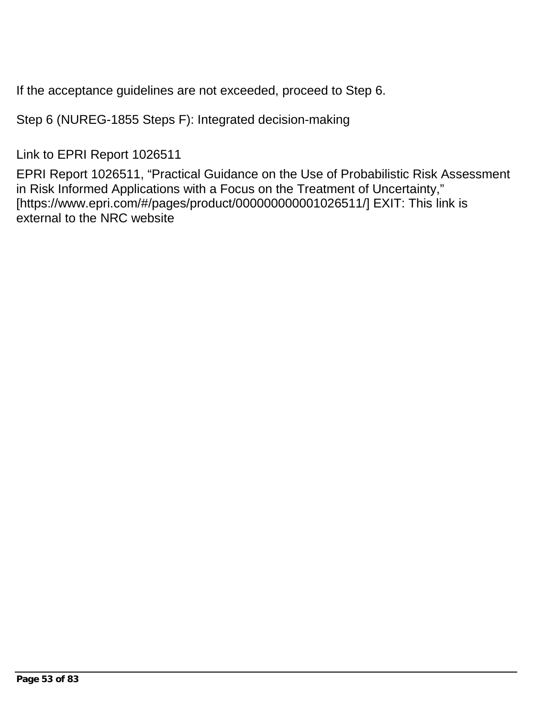If the acceptance guidelines are not exceeded, proceed to Step 6.

Step 6 (NUREG-1855 Steps F): Integrated decision-making

Link to EPRI Report 1026511

EPRI Report 1026511, "Practical Guidance on the Use of Probabilistic Risk Assessment in Risk Informed Applications with a Focus on the Treatment of Uncertainty," [https://www.epri.com/#/pages/product/000000000001026511/] EXIT: This link is external to the NRC website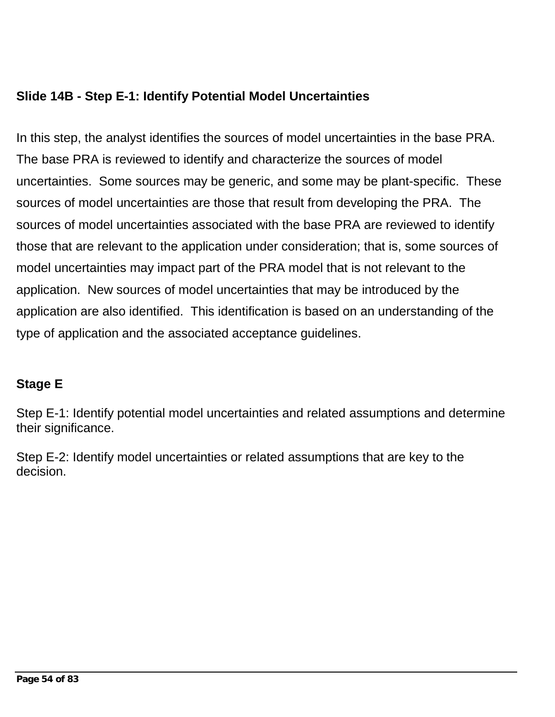## **Slide 14B - Step E-1: Identify Potential Model Uncertainties**

In this step, the analyst identifies the sources of model uncertainties in the base PRA. The base PRA is reviewed to identify and characterize the sources of model uncertainties. Some sources may be generic, and some may be plant-specific. These sources of model uncertainties are those that result from developing the PRA. The sources of model uncertainties associated with the base PRA are reviewed to identify those that are relevant to the application under consideration; that is, some sources of model uncertainties may impact part of the PRA model that is not relevant to the application. New sources of model uncertainties that may be introduced by the application are also identified. This identification is based on an understanding of the type of application and the associated acceptance guidelines.

# **Stage E**

Step E-1: Identify potential model uncertainties and related assumptions and determine their significance.

Step E-2: Identify model uncertainties or related assumptions that are key to the decision.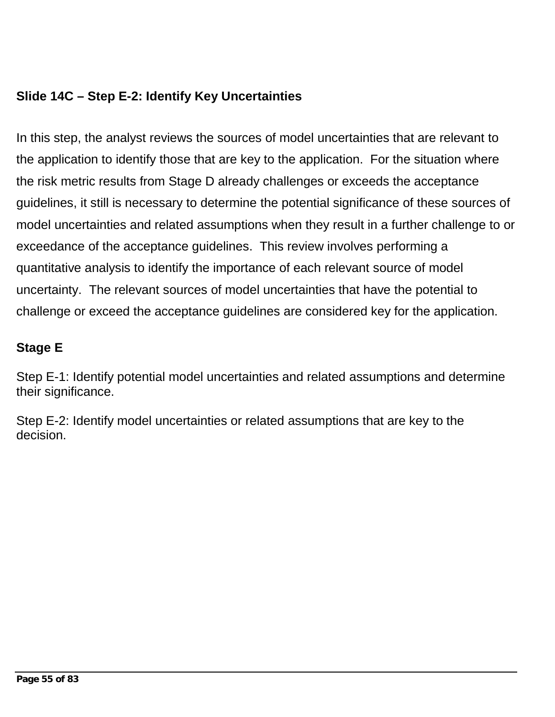# **Slide 14C – Step E-2: Identify Key Uncertainties**

In this step, the analyst reviews the sources of model uncertainties that are relevant to the application to identify those that are key to the application. For the situation where the risk metric results from Stage D already challenges or exceeds the acceptance guidelines, it still is necessary to determine the potential significance of these sources of model uncertainties and related assumptions when they result in a further challenge to or exceedance of the acceptance guidelines. This review involves performing a quantitative analysis to identify the importance of each relevant source of model uncertainty. The relevant sources of model uncertainties that have the potential to challenge or exceed the acceptance guidelines are considered key for the application.

# **Stage E**

Step E-1: Identify potential model uncertainties and related assumptions and determine their significance.

Step E-2: Identify model uncertainties or related assumptions that are key to the decision.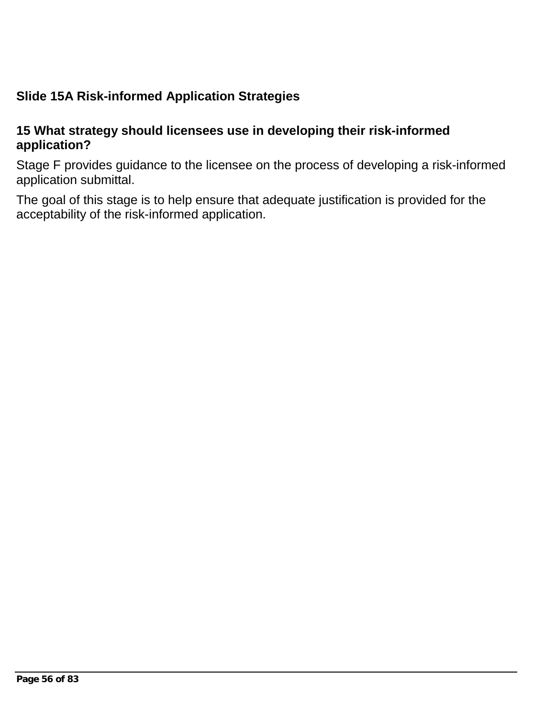# **Slide 15A Risk-informed Application Strategies**

#### **15 What strategy should licensees use in developing their risk-informed application?**

Stage F provides guidance to the licensee on the process of developing a risk-informed application submittal.

The goal of this stage is to help ensure that adequate justification is provided for the acceptability of the risk-informed application.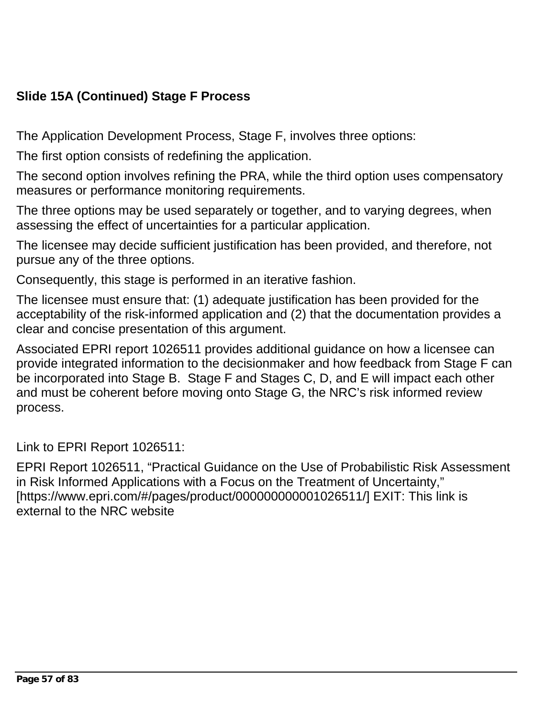# **Slide 15A (Continued) Stage F Process**

The Application Development Process, Stage F, involves three options:

The first option consists of redefining the application.

The second option involves refining the PRA, while the third option uses compensatory measures or performance monitoring requirements.

The three options may be used separately or together, and to varying degrees, when assessing the effect of uncertainties for a particular application.

The licensee may decide sufficient justification has been provided, and therefore, not pursue any of the three options.

Consequently, this stage is performed in an iterative fashion.

The licensee must ensure that: (1) adequate justification has been provided for the acceptability of the risk-informed application and (2) that the documentation provides a clear and concise presentation of this argument.

Associated EPRI report 1026511 provides additional guidance on how a licensee can provide integrated information to the decisionmaker and how feedback from Stage F can be incorporated into Stage B. Stage F and Stages C, D, and E will impact each other and must be coherent before moving onto Stage G, the NRC's risk informed review process.

Link to EPRI Report 1026511:

EPRI Report 1026511, "Practical Guidance on the Use of Probabilistic Risk Assessment in Risk Informed Applications with a Focus on the Treatment of Uncertainty," [https://www.epri.com/#/pages/product/000000000001026511/] EXIT: This link is external to the NRC website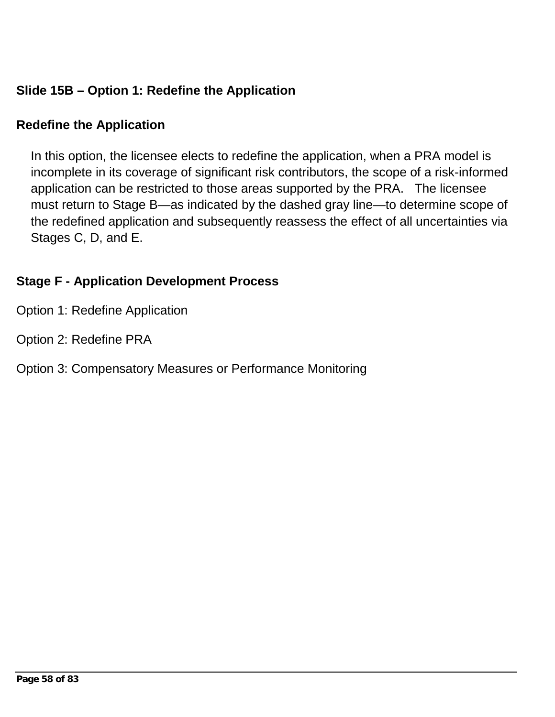# **Slide 15B – Option 1: Redefine the Application**

### **Redefine the Application**

In this option, the licensee elects to redefine the application, when a PRA model is incomplete in its coverage of significant risk contributors, the scope of a risk-informed application can be restricted to those areas supported by the PRA. The licensee must return to Stage B—as indicated by the dashed gray line—to determine scope of the redefined application and subsequently reassess the effect of all uncertainties via Stages C, D, and E.

# **Stage F - Application Development Process**

- Option 1: Redefine Application
- Option 2: Redefine PRA

### Option 3: Compensatory Measures or Performance Monitoring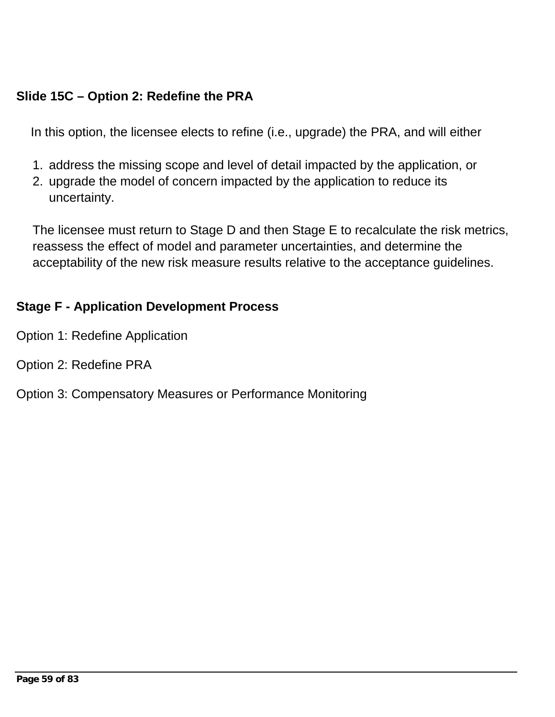## **Slide 15C – Option 2: Redefine the PRA**

In this option, the licensee elects to refine (i.e., upgrade) the PRA, and will either

- 1. address the missing scope and level of detail impacted by the application, or
- 2. upgrade the model of concern impacted by the application to reduce its uncertainty.

The licensee must return to Stage D and then Stage E to recalculate the risk metrics, reassess the effect of model and parameter uncertainties, and determine the acceptability of the new risk measure results relative to the acceptance guidelines.

#### **Stage F - Application Development Process**

- Option 1: Redefine Application
- Option 2: Redefine PRA
- Option 3: Compensatory Measures or Performance Monitoring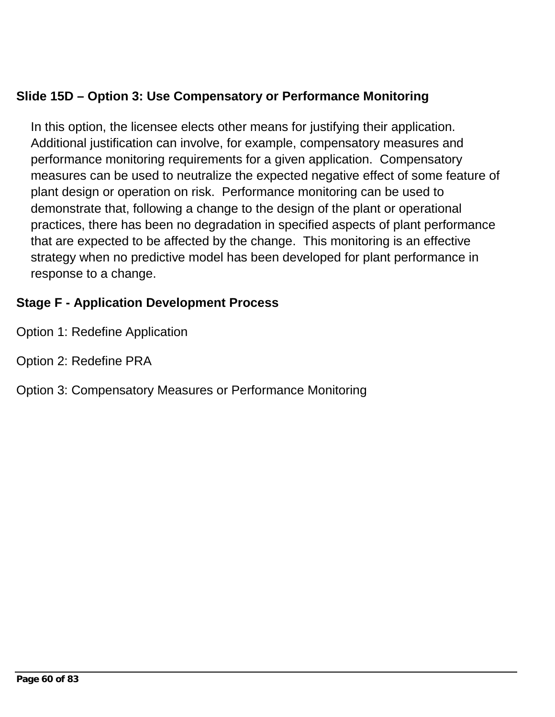## **Slide 15D – Option 3: Use Compensatory or Performance Monitoring**

In this option, the licensee elects other means for justifying their application. Additional justification can involve, for example, compensatory measures and performance monitoring requirements for a given application. Compensatory measures can be used to neutralize the expected negative effect of some feature of plant design or operation on risk. Performance monitoring can be used to demonstrate that, following a change to the design of the plant or operational practices, there has been no degradation in specified aspects of plant performance that are expected to be affected by the change. This monitoring is an effective strategy when no predictive model has been developed for plant performance in response to a change.

### **Stage F - Application Development Process**

- Option 1: Redefine Application
- Option 2: Redefine PRA
- Option 3: Compensatory Measures or Performance Monitoring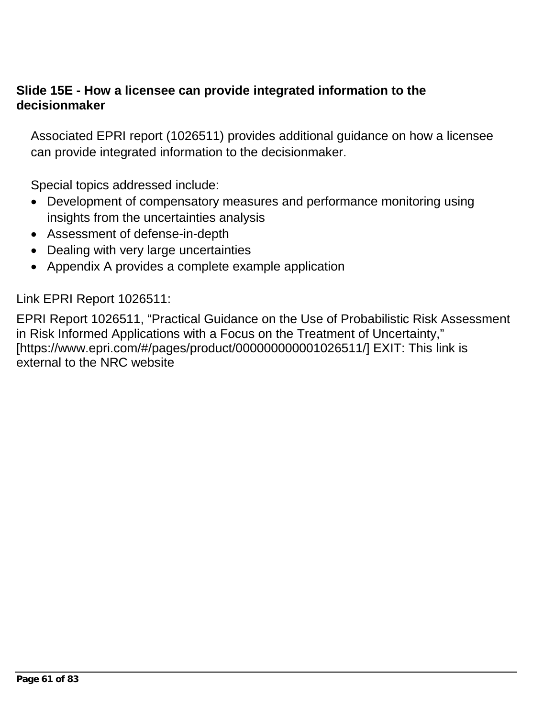#### **Slide 15E - How a licensee can provide integrated information to the decisionmaker**

Associated EPRI report (1026511) provides additional guidance on how a licensee can provide integrated information to the decisionmaker.

Special topics addressed include:

- Development of compensatory measures and performance monitoring using insights from the uncertainties analysis
- Assessment of defense-in-depth
- Dealing with very large uncertainties
- Appendix A provides a complete example application

Link EPRI Report 1026511:

EPRI Report 1026511, "Practical Guidance on the Use of Probabilistic Risk Assessment in Risk Informed Applications with a Focus on the Treatment of Uncertainty," [https://www.epri.com/#/pages/product/000000000001026511/] EXIT: This link is external to the NRC website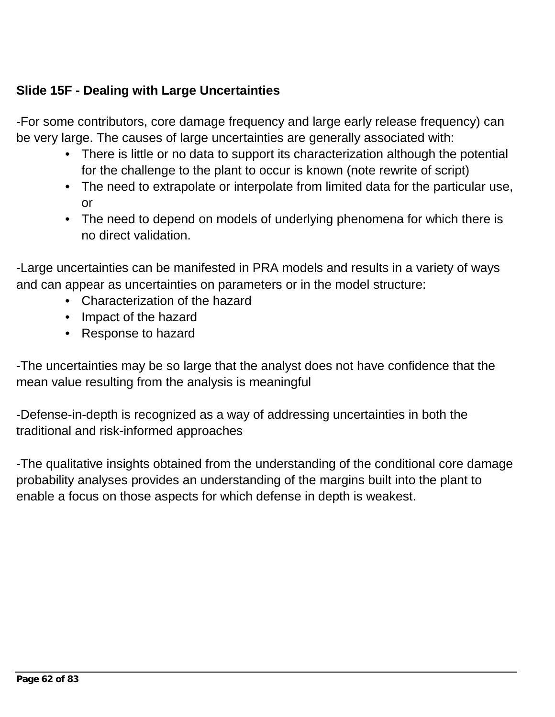## **Slide 15F - Dealing with Large Uncertainties**

-For some contributors, core damage frequency and large early release frequency) can be very large. The causes of large uncertainties are generally associated with:

- There is little or no data to support its characterization although the potential for the challenge to the plant to occur is known (note rewrite of script)
- The need to extrapolate or interpolate from limited data for the particular use, or
- The need to depend on models of underlying phenomena for which there is no direct validation.

-Large uncertainties can be manifested in PRA models and results in a variety of ways and can appear as uncertainties on parameters or in the model structure:

- Characterization of the hazard
- Impact of the hazard
- Response to hazard

-The uncertainties may be so large that the analyst does not have confidence that the mean value resulting from the analysis is meaningful

-Defense-in-depth is recognized as a way of addressing uncertainties in both the traditional and risk-informed approaches

-The qualitative insights obtained from the understanding of the conditional core damage probability analyses provides an understanding of the margins built into the plant to enable a focus on those aspects for which defense in depth is weakest.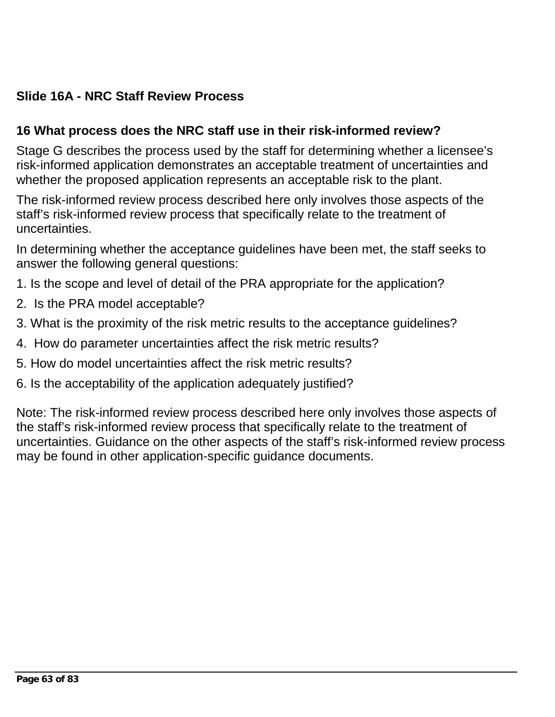# **Slide 16A - NRC Staff Review Process**

### **16 What process does the NRC staff use in their risk-informed review?**

Stage G describes the process used by the staff for determining whether a licensee's risk-informed application demonstrates an acceptable treatment of uncertainties and whether the proposed application represents an acceptable risk to the plant.

The risk-informed review process described here only involves those aspects of the staff's risk-informed review process that specifically relate to the treatment of uncertainties.

In determining whether the acceptance guidelines have been met, the staff seeks to answer the following general questions:

- 1. Is the scope and level of detail of the PRA appropriate for the application?
- 2. Is the PRA model acceptable?
- 3. What is the proximity of the risk metric results to the acceptance guidelines?
- 4. How do parameter uncertainties affect the risk metric results?
- 5. How do model uncertainties affect the risk metric results?
- 6. Is the acceptability of the application adequately justified?

Note: The risk-informed review process described here only involves those aspects of the staff's risk-informed review process that specifically relate to the treatment of uncertainties. Guidance on the other aspects of the staff's risk-informed review process may be found in other application-specific guidance documents.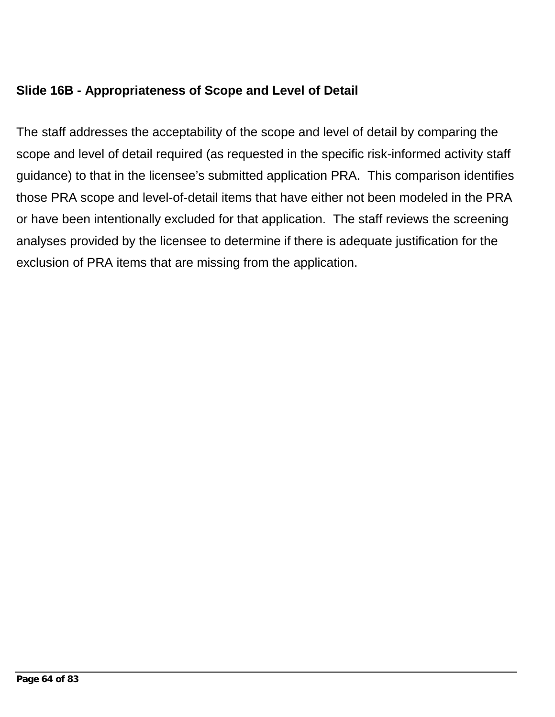## **Slide 16B - Appropriateness of Scope and Level of Detail**

The staff addresses the acceptability of the scope and level of detail by comparing the scope and level of detail required (as requested in the specific risk-informed activity staff guidance) to that in the licensee's submitted application PRA. This comparison identifies those PRA scope and level-of-detail items that have either not been modeled in the PRA or have been intentionally excluded for that application. The staff reviews the screening analyses provided by the licensee to determine if there is adequate justification for the exclusion of PRA items that are missing from the application.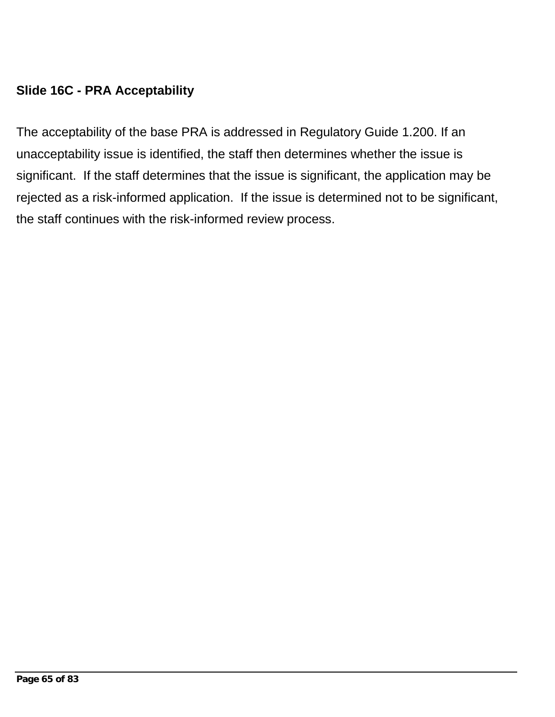# **Slide 16C - PRA Acceptability**

The acceptability of the base PRA is addressed in Regulatory Guide 1.200. If an unacceptability issue is identified, the staff then determines whether the issue is significant. If the staff determines that the issue is significant, the application may be rejected as a risk-informed application. If the issue is determined not to be significant, the staff continues with the risk-informed review process.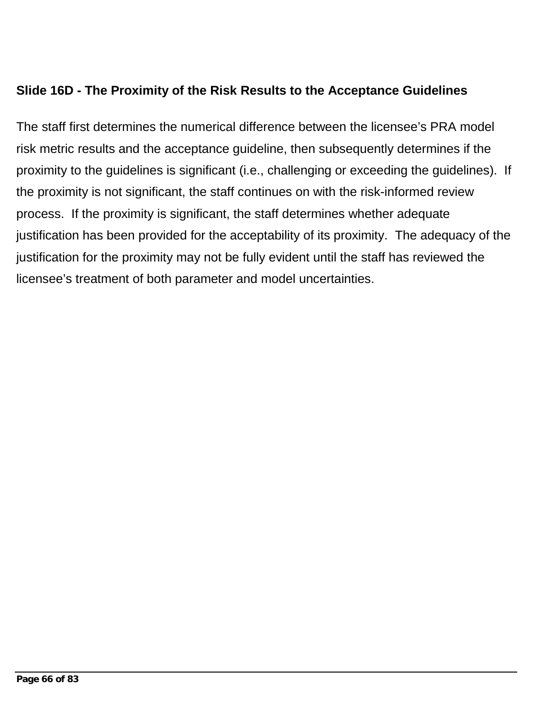## **Slide 16D - The Proximity of the Risk Results to the Acceptance Guidelines**

The staff first determines the numerical difference between the licensee's PRA model risk metric results and the acceptance guideline, then subsequently determines if the proximity to the guidelines is significant (i.e., challenging or exceeding the guidelines). If the proximity is not significant, the staff continues on with the risk-informed review process. If the proximity is significant, the staff determines whether adequate justification has been provided for the acceptability of its proximity. The adequacy of the justification for the proximity may not be fully evident until the staff has reviewed the licensee's treatment of both parameter and model uncertainties.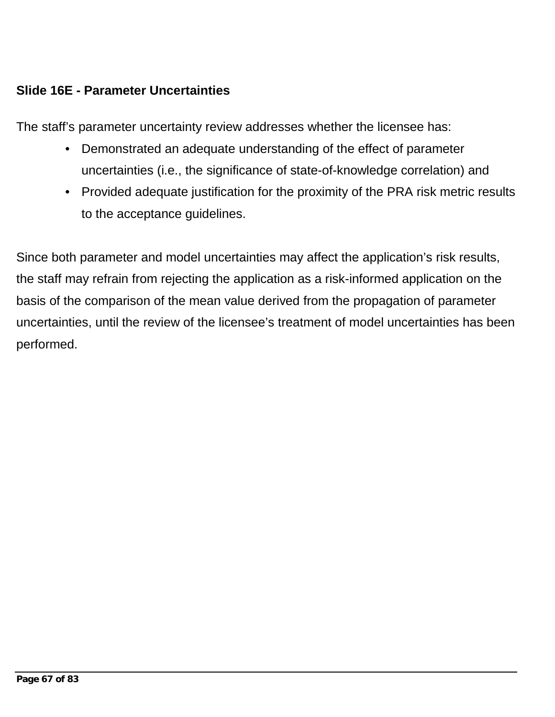## **Slide 16E - Parameter Uncertainties**

The staff's parameter uncertainty review addresses whether the licensee has:

- Demonstrated an adequate understanding of the effect of parameter uncertainties (i.e., the significance of state-of-knowledge correlation) and
- Provided adequate justification for the proximity of the PRA risk metric results to the acceptance guidelines.

Since both parameter and model uncertainties may affect the application's risk results, the staff may refrain from rejecting the application as a risk-informed application on the basis of the comparison of the mean value derived from the propagation of parameter uncertainties, until the review of the licensee's treatment of model uncertainties has been performed.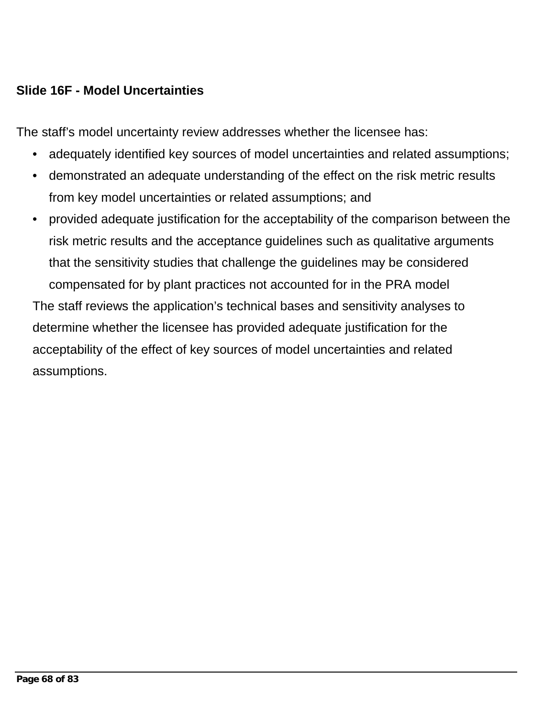### **Slide 16F - Model Uncertainties**

The staff's model uncertainty review addresses whether the licensee has:

- adequately identified key sources of model uncertainties and related assumptions;
- demonstrated an adequate understanding of the effect on the risk metric results from key model uncertainties or related assumptions; and
- provided adequate justification for the acceptability of the comparison between the risk metric results and the acceptance guidelines such as qualitative arguments that the sensitivity studies that challenge the guidelines may be considered compensated for by plant practices not accounted for in the PRA model The staff reviews the application's technical bases and sensitivity analyses to

determine whether the licensee has provided adequate justification for the acceptability of the effect of key sources of model uncertainties and related assumptions.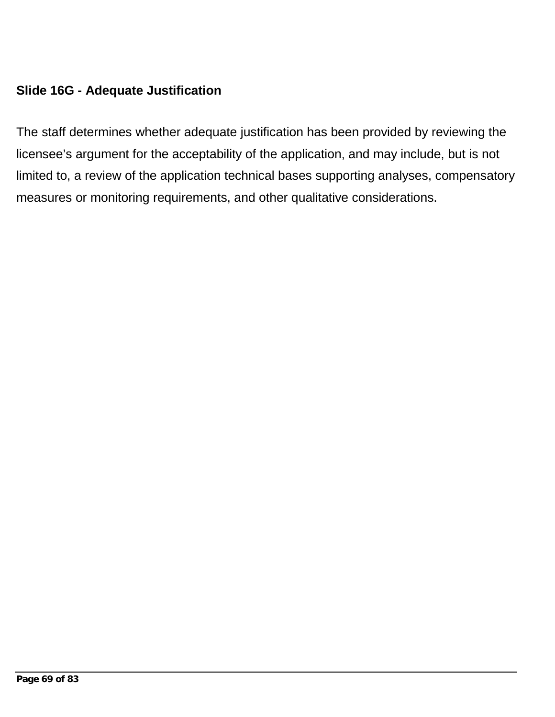### **Slide 16G - Adequate Justification**

The staff determines whether adequate justification has been provided by reviewing the licensee's argument for the acceptability of the application, and may include, but is not limited to, a review of the application technical bases supporting analyses, compensatory measures or monitoring requirements, and other qualitative considerations.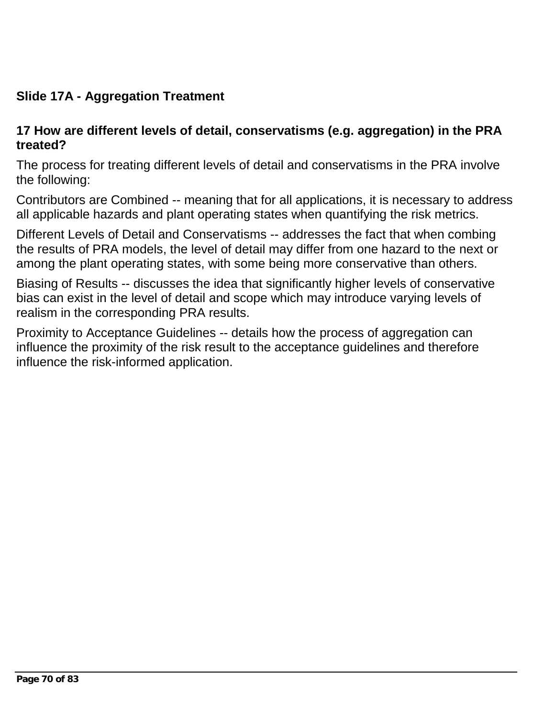# **Slide 17A - Aggregation Treatment**

#### **17 How are different levels of detail, conservatisms (e.g. aggregation) in the PRA treated?**

The process for treating different levels of detail and conservatisms in the PRA involve the following:

Contributors are Combined -- meaning that for all applications, it is necessary to address all applicable hazards and plant operating states when quantifying the risk metrics.

Different Levels of Detail and Conservatisms -- addresses the fact that when combing the results of PRA models, the level of detail may differ from one hazard to the next or among the plant operating states, with some being more conservative than others.

Biasing of Results -- discusses the idea that significantly higher levels of conservative bias can exist in the level of detail and scope which may introduce varying levels of realism in the corresponding PRA results.

Proximity to Acceptance Guidelines -- details how the process of aggregation can influence the proximity of the risk result to the acceptance guidelines and therefore influence the risk-informed application.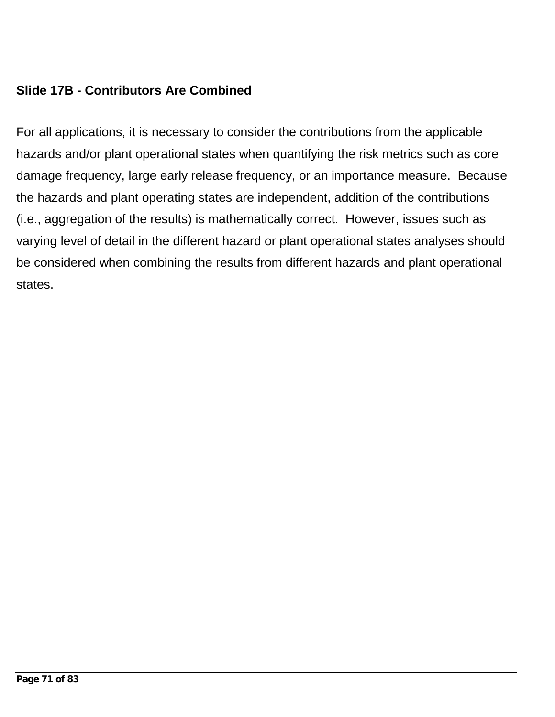## **Slide 17B - Contributors Are Combined**

For all applications, it is necessary to consider the contributions from the applicable hazards and/or plant operational states when quantifying the risk metrics such as core damage frequency, large early release frequency, or an importance measure. Because the hazards and plant operating states are independent, addition of the contributions (i.e., aggregation of the results) is mathematically correct. However, issues such as varying level of detail in the different hazard or plant operational states analyses should be considered when combining the results from different hazards and plant operational states.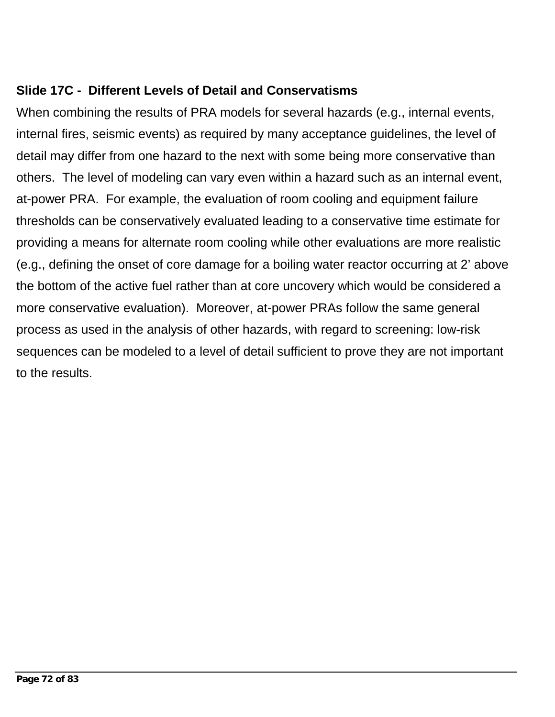## **Slide 17C - Different Levels of Detail and Conservatisms**

When combining the results of PRA models for several hazards (e.g., internal events, internal fires, seismic events) as required by many acceptance guidelines, the level of detail may differ from one hazard to the next with some being more conservative than others. The level of modeling can vary even within a hazard such as an internal event, at-power PRA. For example, the evaluation of room cooling and equipment failure thresholds can be conservatively evaluated leading to a conservative time estimate for providing a means for alternate room cooling while other evaluations are more realistic (e.g., defining the onset of core damage for a boiling water reactor occurring at 2' above the bottom of the active fuel rather than at core uncovery which would be considered a more conservative evaluation). Moreover, at-power PRAs follow the same general process as used in the analysis of other hazards, with regard to screening: low-risk sequences can be modeled to a level of detail sufficient to prove they are not important to the results.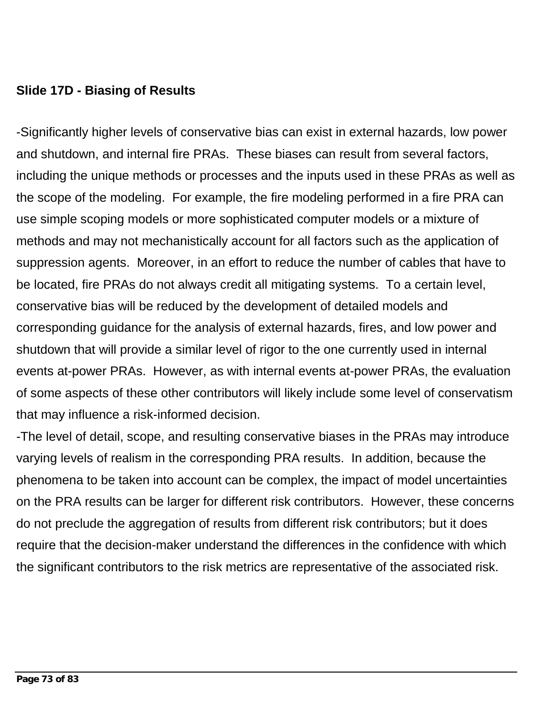## **Slide 17D - Biasing of Results**

-Significantly higher levels of conservative bias can exist in external hazards, low power and shutdown, and internal fire PRAs. These biases can result from several factors, including the unique methods or processes and the inputs used in these PRAs as well as the scope of the modeling. For example, the fire modeling performed in a fire PRA can use simple scoping models or more sophisticated computer models or a mixture of methods and may not mechanistically account for all factors such as the application of suppression agents. Moreover, in an effort to reduce the number of cables that have to be located, fire PRAs do not always credit all mitigating systems. To a certain level, conservative bias will be reduced by the development of detailed models and corresponding guidance for the analysis of external hazards, fires, and low power and shutdown that will provide a similar level of rigor to the one currently used in internal events at-power PRAs. However, as with internal events at-power PRAs, the evaluation of some aspects of these other contributors will likely include some level of conservatism that may influence a risk-informed decision.

-The level of detail, scope, and resulting conservative biases in the PRAs may introduce varying levels of realism in the corresponding PRA results. In addition, because the phenomena to be taken into account can be complex, the impact of model uncertainties on the PRA results can be larger for different risk contributors. However, these concerns do not preclude the aggregation of results from different risk contributors; but it does require that the decision-maker understand the differences in the confidence with which the significant contributors to the risk metrics are representative of the associated risk.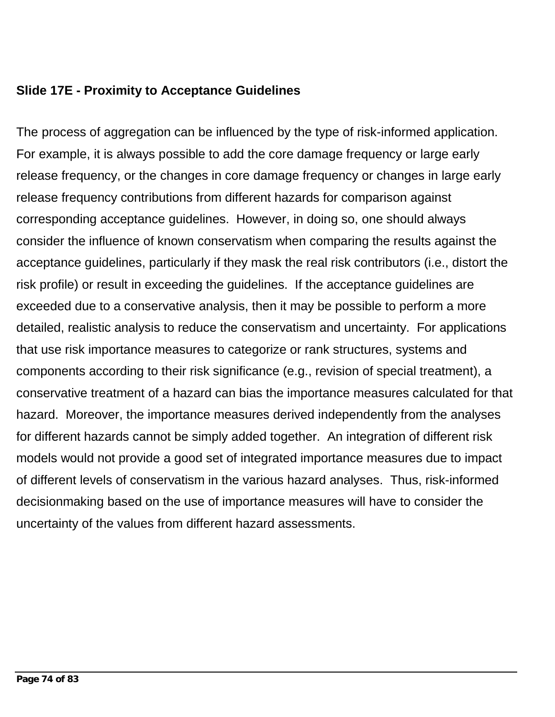## **Slide 17E - Proximity to Acceptance Guidelines**

The process of aggregation can be influenced by the type of risk-informed application. For example, it is always possible to add the core damage frequency or large early release frequency, or the changes in core damage frequency or changes in large early release frequency contributions from different hazards for comparison against corresponding acceptance guidelines. However, in doing so, one should always consider the influence of known conservatism when comparing the results against the acceptance guidelines, particularly if they mask the real risk contributors (i.e., distort the risk profile) or result in exceeding the guidelines. If the acceptance guidelines are exceeded due to a conservative analysis, then it may be possible to perform a more detailed, realistic analysis to reduce the conservatism and uncertainty. For applications that use risk importance measures to categorize or rank structures, systems and components according to their risk significance (e.g., revision of special treatment), a conservative treatment of a hazard can bias the importance measures calculated for that hazard. Moreover, the importance measures derived independently from the analyses for different hazards cannot be simply added together. An integration of different risk models would not provide a good set of integrated importance measures due to impact of different levels of conservatism in the various hazard analyses. Thus, risk-informed decisionmaking based on the use of importance measures will have to consider the uncertainty of the values from different hazard assessments.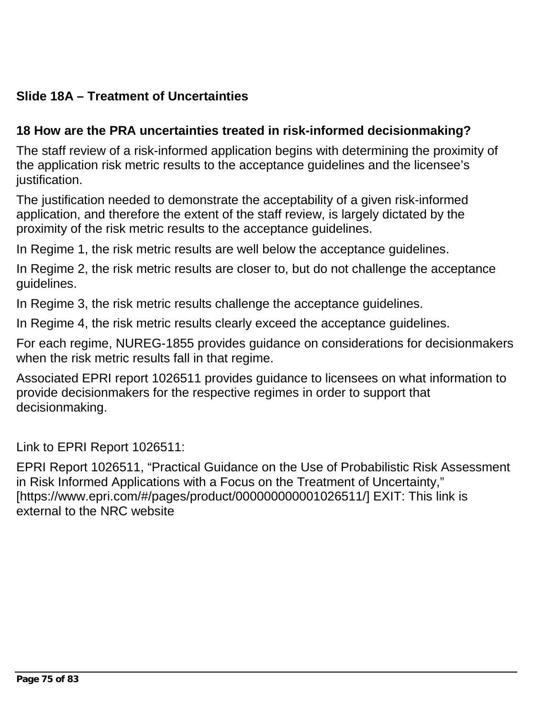# **Slide 18A – Treatment of Uncertainties**

## **18 How are the PRA uncertainties treated in risk-informed decisionmaking?**

The staff review of a risk-informed application begins with determining the proximity of the application risk metric results to the acceptance guidelines and the licensee's justification.

The justification needed to demonstrate the acceptability of a given risk-informed application, and therefore the extent of the staff review, is largely dictated by the proximity of the risk metric results to the acceptance guidelines.

In Regime 1, the risk metric results are well below the acceptance guidelines.

In Regime 2, the risk metric results are closer to, but do not challenge the acceptance guidelines.

In Regime 3, the risk metric results challenge the acceptance guidelines.

In Regime 4, the risk metric results clearly exceed the acceptance guidelines.

For each regime, NUREG-1855 provides guidance on considerations for decisionmakers when the risk metric results fall in that regime.

Associated EPRI report 1026511 provides guidance to licensees on what information to provide decisionmakers for the respective regimes in order to support that decisionmaking.

Link to EPRI Report 1026511:

EPRI Report 1026511, "Practical Guidance on the Use of Probabilistic Risk Assessment in Risk Informed Applications with a Focus on the Treatment of Uncertainty," [https://www.epri.com/#/pages/product/000000000001026511/] EXIT: This link is external to the NRC website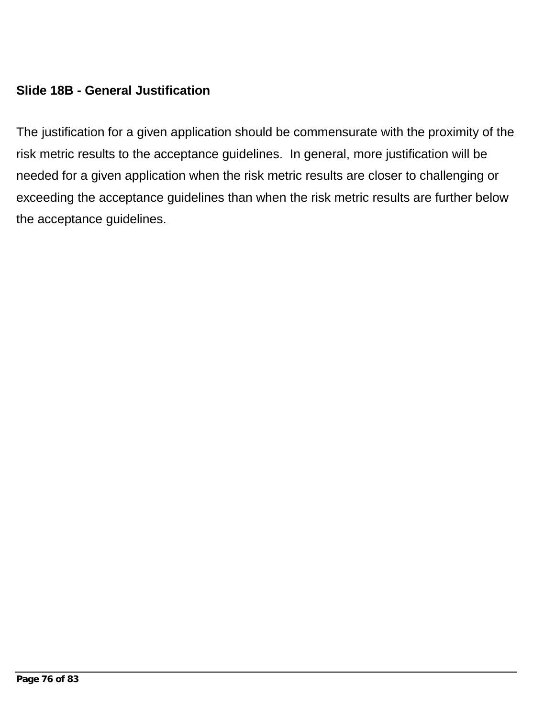## **Slide 18B - General Justification**

The justification for a given application should be commensurate with the proximity of the risk metric results to the acceptance guidelines. In general, more justification will be needed for a given application when the risk metric results are closer to challenging or exceeding the acceptance guidelines than when the risk metric results are further below the acceptance guidelines.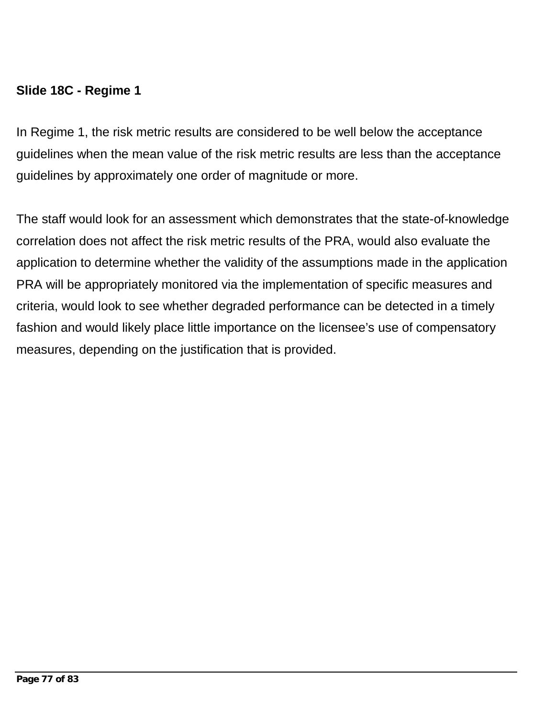## **Slide 18C - Regime 1**

In Regime 1, the risk metric results are considered to be well below the acceptance guidelines when the mean value of the risk metric results are less than the acceptance guidelines by approximately one order of magnitude or more.

The staff would look for an assessment which demonstrates that the state-of-knowledge correlation does not affect the risk metric results of the PRA, would also evaluate the application to determine whether the validity of the assumptions made in the application PRA will be appropriately monitored via the implementation of specific measures and criteria, would look to see whether degraded performance can be detected in a timely fashion and would likely place little importance on the licensee's use of compensatory measures, depending on the justification that is provided.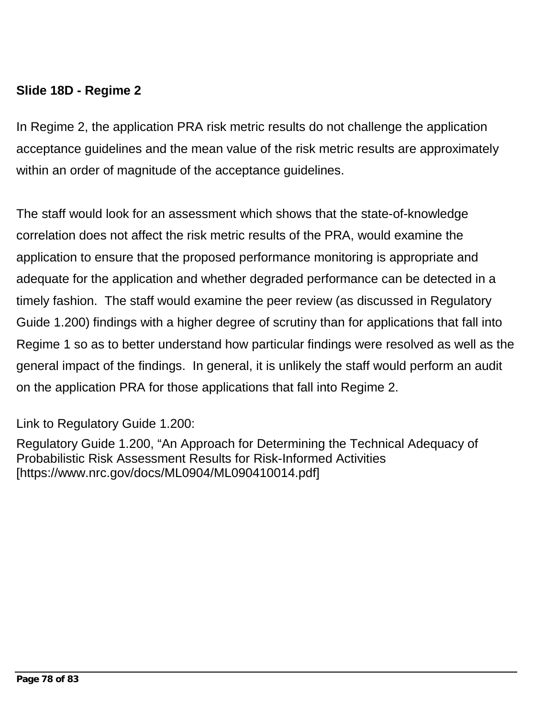## **Slide 18D - Regime 2**

In Regime 2, the application PRA risk metric results do not challenge the application acceptance guidelines and the mean value of the risk metric results are approximately within an order of magnitude of the acceptance guidelines.

The staff would look for an assessment which shows that the state-of-knowledge correlation does not affect the risk metric results of the PRA, would examine the application to ensure that the proposed performance monitoring is appropriate and adequate for the application and whether degraded performance can be detected in a timely fashion. The staff would examine the peer review (as discussed in Regulatory Guide 1.200) findings with a higher degree of scrutiny than for applications that fall into Regime 1 so as to better understand how particular findings were resolved as well as the general impact of the findings. In general, it is unlikely the staff would perform an audit on the application PRA for those applications that fall into Regime 2.

Link to Regulatory Guide 1.200:

Regulatory Guide 1.200, "An Approach for Determining the Technical Adequacy of Probabilistic Risk Assessment Results for Risk-Informed Activities [https://www.nrc.gov/docs/ML0904/ML090410014.pdf]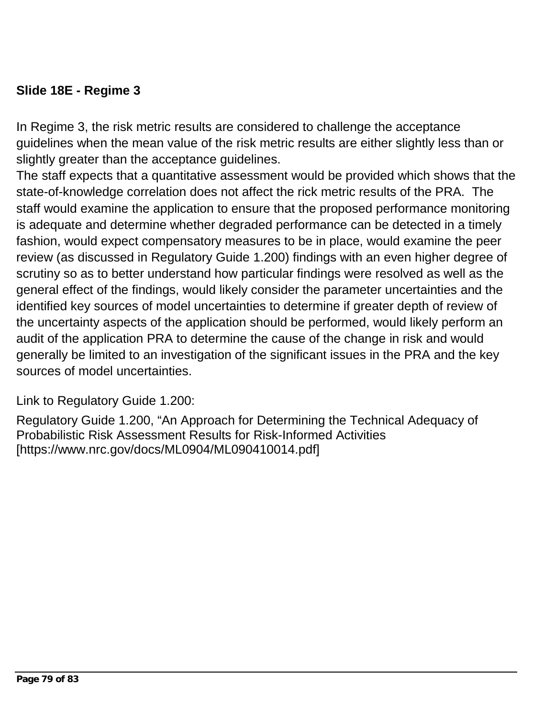## **Slide 18E - Regime 3**

In Regime 3, the risk metric results are considered to challenge the acceptance guidelines when the mean value of the risk metric results are either slightly less than or slightly greater than the acceptance guidelines.

The staff expects that a quantitative assessment would be provided which shows that the state-of-knowledge correlation does not affect the rick metric results of the PRA. The staff would examine the application to ensure that the proposed performance monitoring is adequate and determine whether degraded performance can be detected in a timely fashion, would expect compensatory measures to be in place, would examine the peer review (as discussed in Regulatory Guide 1.200) findings with an even higher degree of scrutiny so as to better understand how particular findings were resolved as well as the general effect of the findings, would likely consider the parameter uncertainties and the identified key sources of model uncertainties to determine if greater depth of review of the uncertainty aspects of the application should be performed, would likely perform an audit of the application PRA to determine the cause of the change in risk and would generally be limited to an investigation of the significant issues in the PRA and the key sources of model uncertainties.

Link to Regulatory Guide 1.200:

Regulatory Guide 1.200, "An Approach for Determining the Technical Adequacy of Probabilistic Risk Assessment Results for Risk-Informed Activities [https://www.nrc.gov/docs/ML0904/ML090410014.pdf]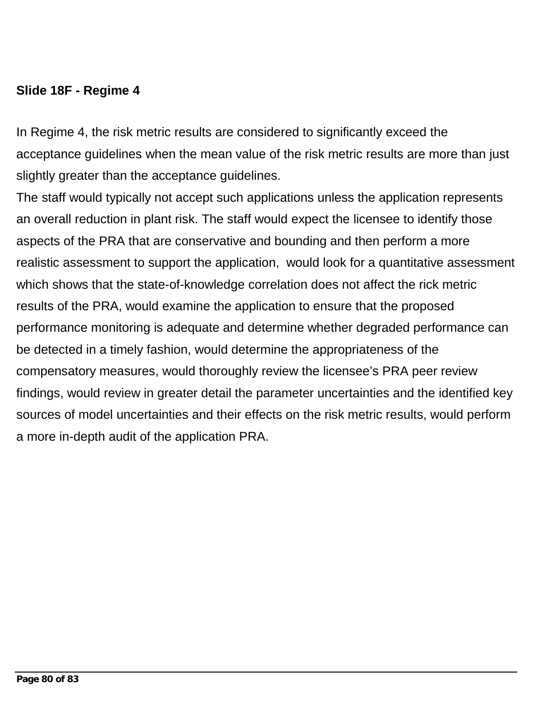## **Slide 18F - Regime 4**

In Regime 4, the risk metric results are considered to significantly exceed the acceptance guidelines when the mean value of the risk metric results are more than just slightly greater than the acceptance guidelines.

The staff would typically not accept such applications unless the application represents an overall reduction in plant risk. The staff would expect the licensee to identify those aspects of the PRA that are conservative and bounding and then perform a more realistic assessment to support the application, would look for a quantitative assessment which shows that the state-of-knowledge correlation does not affect the rick metric results of the PRA, would examine the application to ensure that the proposed performance monitoring is adequate and determine whether degraded performance can be detected in a timely fashion, would determine the appropriateness of the compensatory measures, would thoroughly review the licensee's PRA peer review findings, would review in greater detail the parameter uncertainties and the identified key sources of model uncertainties and their effects on the risk metric results, would perform a more in-depth audit of the application PRA.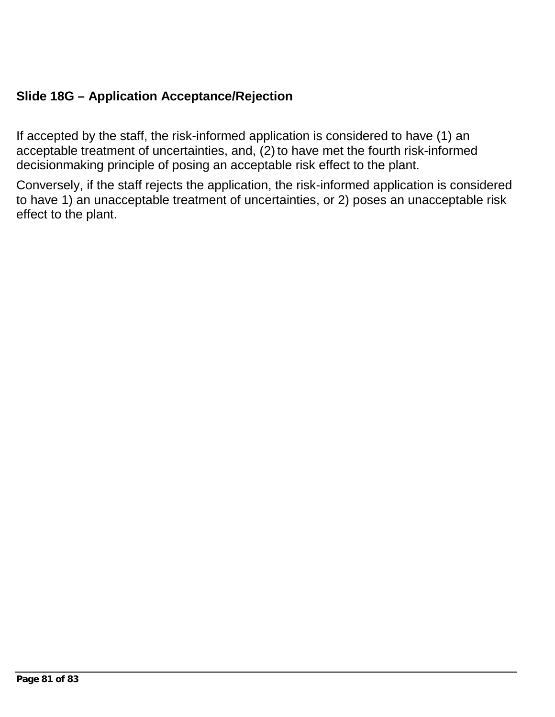## **Slide 18G – Application Acceptance/Rejection**

If accepted by the staff, the risk-informed application is considered to have (1) an acceptable treatment of uncertainties, and, (2) to have met the fourth risk-informed decisionmaking principle of posing an acceptable risk effect to the plant.

Conversely, if the staff rejects the application, the risk-informed application is considered to have 1) an unacceptable treatment of uncertainties, or 2) poses an unacceptable risk effect to the plant.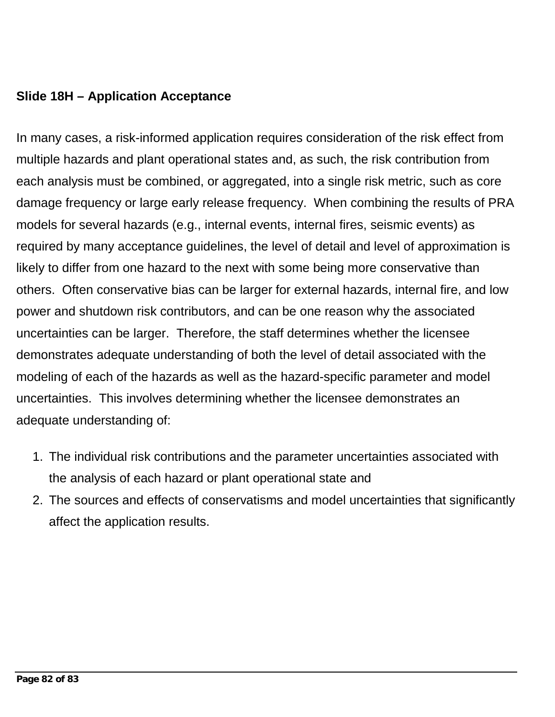### **Slide 18H – Application Acceptance**

In many cases, a risk-informed application requires consideration of the risk effect from multiple hazards and plant operational states and, as such, the risk contribution from each analysis must be combined, or aggregated, into a single risk metric, such as core damage frequency or large early release frequency. When combining the results of PRA models for several hazards (e.g., internal events, internal fires, seismic events) as required by many acceptance guidelines, the level of detail and level of approximation is likely to differ from one hazard to the next with some being more conservative than others. Often conservative bias can be larger for external hazards, internal fire, and low power and shutdown risk contributors, and can be one reason why the associated uncertainties can be larger. Therefore, the staff determines whether the licensee demonstrates adequate understanding of both the level of detail associated with the modeling of each of the hazards as well as the hazard-specific parameter and model uncertainties. This involves determining whether the licensee demonstrates an adequate understanding of:

- 1. The individual risk contributions and the parameter uncertainties associated with the analysis of each hazard or plant operational state and
- 2. The sources and effects of conservatisms and model uncertainties that significantly affect the application results.